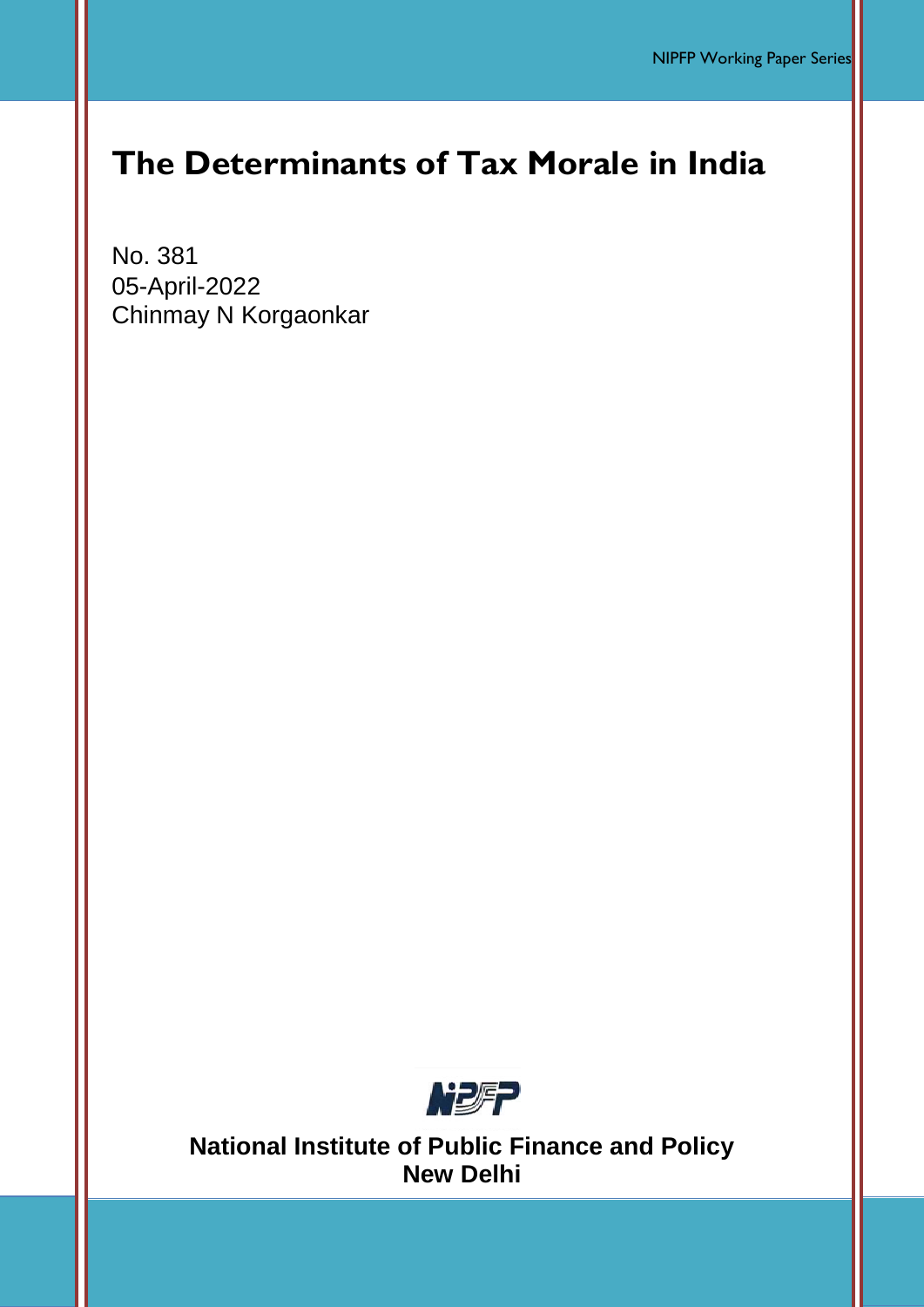# **The Determinants of Tax Morale in India**

No. 381 05-April-2022 Chinmay N Korgaonkar



**National Institute of Public Finance and Policy New Delhi**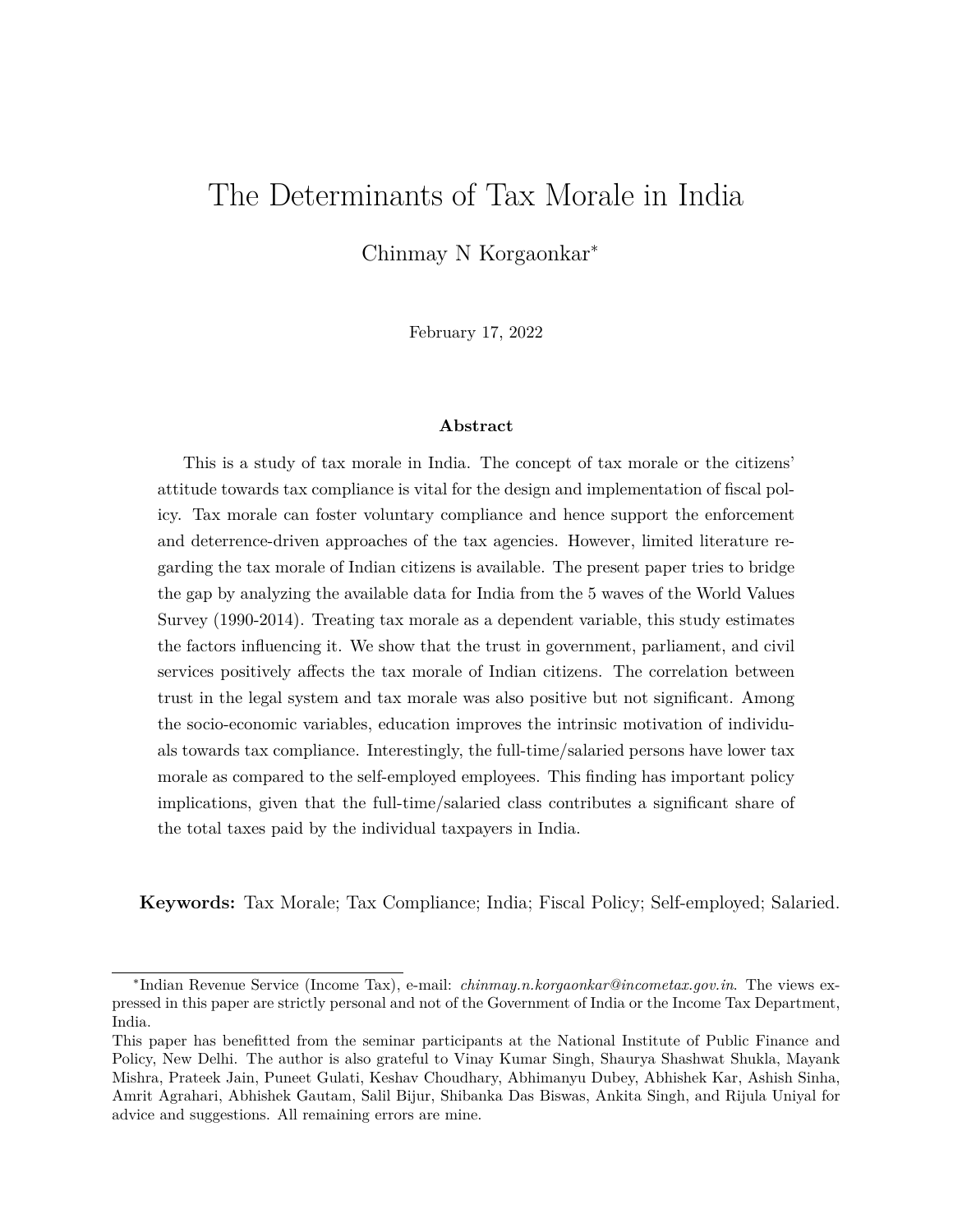# <span id="page-1-0"></span>The Determinants of Tax Morale in India

Chinmay N Korgaonkar<sup>∗</sup>

February 17, 2022

#### **Abstract**

This is a study of tax morale in India. The concept of tax morale or the citizens' attitude towards tax compliance is vital for the design and implementation of fiscal policy. Tax morale can foster voluntary compliance and hence support the enforcement and deterrence-driven approaches of the tax agencies. However, limited literature regarding the tax morale of Indian citizens is available. The present paper tries to bridge the gap by analyzing the available data for India from the 5 waves of the World Values Survey (1990-2014). Treating tax morale as a dependent variable, this study estimates the factors influencing it. We show that the trust in government, parliament, and civil services positively affects the tax morale of Indian citizens. The correlation between trust in the legal system and tax morale was also positive but not significant. Among the socio-economic variables, education improves the intrinsic motivation of individuals towards tax compliance. Interestingly, the full-time/salaried persons have lower tax morale as compared to the self-employed employees. This finding has important policy implications, given that the full-time/salaried class contributes a significant share of the total taxes paid by the individual taxpayers in India.

**Keywords:** Tax Morale; Tax Compliance; India; Fiscal Policy; Self-employed; Salaried.

<sup>∗</sup> Indian Revenue Service (Income Tax), e-mail: *chinmay.n.korgaonkar@incometax.gov.in*. The views expressed in this paper are strictly personal and not of the Government of India or the Income Tax Department, India.

This paper has benefitted from the seminar participants at the National Institute of Public Finance and Policy, New Delhi. The author is also grateful to Vinay Kumar Singh, Shaurya Shashwat Shukla, Mayank Mishra, Prateek Jain, Puneet Gulati, Keshav Choudhary, Abhimanyu Dubey, Abhishek Kar, Ashish Sinha, Amrit Agrahari, Abhishek Gautam, Salil Bijur, Shibanka Das Biswas, Ankita Singh, and Rijula Uniyal for advice and suggestions. All remaining errors are mine.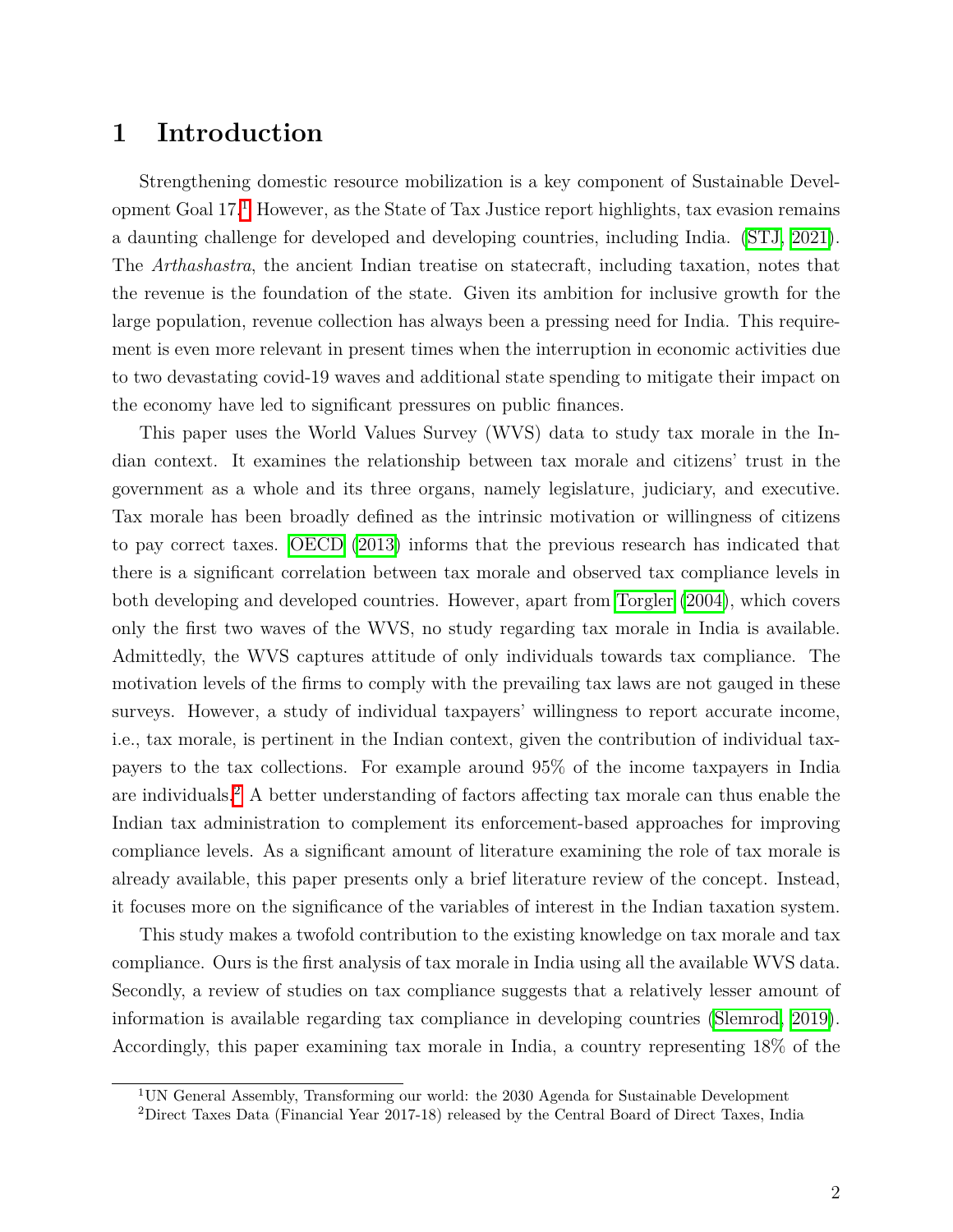## **1 Introduction**

Strengthening domestic resource mobilization is a key component of Sustainable Development Goal  $17$  $17$ <sup> $\parallel$ </sup> However, as the State of Tax Justice report highlights, tax evasion remains a daunting challenge for developed and developing countries, including India. [\(STJ, 2021\)](#page-24-0). The *Arthashastra*, the ancient Indian treatise on statecraft, including taxation, notes that the revenue is the foundation of the state. Given its ambition for inclusive growth for the large population, revenue collection has always been a pressing need for India. This requirement is even more relevant in present times when the interruption in economic activities due to two devastating covid-19 waves and additional state spending to mitigate their impact on the economy have led to significant pressures on public finances.

This paper uses the World Values Survey (WVS) data to study tax morale in the Indian context. It examines the relationship between tax morale and citizens' trust in the government as a whole and its three organs, namely legislature, judiciary, and executive. Tax morale has been broadly defined as the intrinsic motivation or willingness of citizens to pay correct taxes. [OECD](#page-24-1) [\(2013\)](#page-24-1) informs that the previous research has indicated that there is a significant correlation between tax morale and observed tax compliance levels in both developing and developed countries. However, apart from [Torgler](#page-24-2) [\(2004\)](#page-24-2), which covers only the first two waves of the WVS, no study regarding tax morale in India is available. Admittedly, the WVS captures attitude of only individuals towards tax compliance. The motivation levels of the firms to comply with the prevailing tax laws are not gauged in these surveys. However, a study of individual taxpayers' willingness to report accurate income, i.e., tax morale, is pertinent in the Indian context, given the contribution of individual taxpayers to the tax collections. For example around 95% of the income taxpayers in India are individuals.<sup>[2](#page-1-0)</sup> A better understanding of factors affecting tax morale can thus enable the Indian tax administration to complement its enforcement-based approaches for improving compliance levels. As a significant amount of literature examining the role of tax morale is already available, this paper presents only a brief literature review of the concept. Instead, it focuses more on the significance of the variables of interest in the Indian taxation system.

This study makes a twofold contribution to the existing knowledge on tax morale and tax compliance. Ours is the first analysis of tax morale in India using all the available WVS data. Secondly, a review of studies on tax compliance suggests that a relatively lesser amount of information is available regarding tax compliance in developing countries [\(Slemrod, 2019\)](#page-24-3). Accordingly, this paper examining tax morale in India, a country representing 18% of the

<sup>1</sup>UN General Assembly, Transforming our world: the 2030 Agenda for Sustainable Development

<sup>2</sup>Direct Taxes Data (Financial Year 2017-18) released by the Central Board of Direct Taxes, India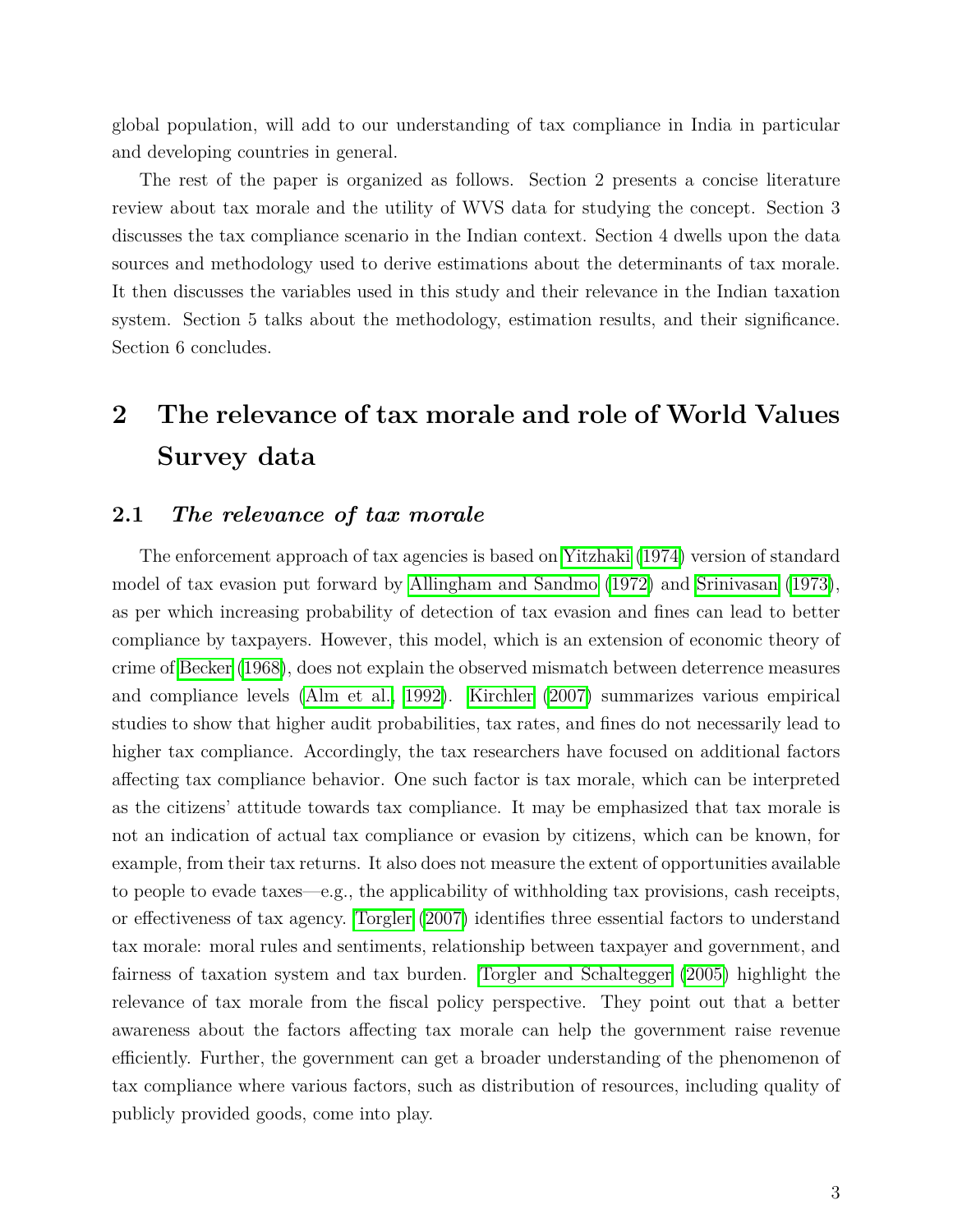global population, will add to our understanding of tax compliance in India in particular and developing countries in general.

The rest of the paper is organized as follows. Section 2 presents a concise literature review about tax morale and the utility of WVS data for studying the concept. Section 3 discusses the tax compliance scenario in the Indian context. Section 4 dwells upon the data sources and methodology used to derive estimations about the determinants of tax morale. It then discusses the variables used in this study and their relevance in the Indian taxation system. Section 5 talks about the methodology, estimation results, and their significance. Section 6 concludes.

# **2 The relevance of tax morale and role of World Values Survey data**

### **2.1** *The relevance of tax morale*

The enforcement approach of tax agencies is based on [Yitzhaki](#page-24-4) [\(1974\)](#page-24-4) version of standard model of tax evasion put forward by [Allingham and Sandmo](#page-23-0)  $(1972)$  and [Srinivasan](#page-24-5)  $(1973)$ , as per which increasing probability of detection of tax evasion and fines can lead to better compliance by taxpayers. However, this model, which is an extension of economic theory of crime of [Becker](#page-23-1) [\(1968\)](#page-23-1), does not explain the observed mismatch between deterrence measures and compliance levels  $[Alm et al.]$  [1992]. [Kirchler](#page-23-3)  $[2007]$  summarizes various empirical studies to show that higher audit probabilities, tax rates, and fines do not necessarily lead to higher tax compliance. Accordingly, the tax researchers have focused on additional factors affecting tax compliance behavior. One such factor is tax morale, which can be interpreted as the citizens' attitude towards tax compliance. It may be emphasized that tax morale is not an indication of actual tax compliance or evasion by citizens, which can be known, for example, from their tax returns. It also does not measure the extent of opportunities available to people to evade taxes—e.g., the applicability of withholding tax provisions, cash receipts, or effectiveness of tax agency. [Torgler](#page-24-6) [\(2007\)](#page-24-6) identifies three essential factors to understand tax morale: moral rules and sentiments, relationship between taxpayer and government, and fairness of taxation system and tax burden. [Torgler and Schaltegger](#page-24-7) [\(2005\)](#page-24-7) highlight the relevance of tax morale from the fiscal policy perspective. They point out that a better awareness about the factors affecting tax morale can help the government raise revenue efficiently. Further, the government can get a broader understanding of the phenomenon of tax compliance where various factors, such as distribution of resources, including quality of publicly provided goods, come into play.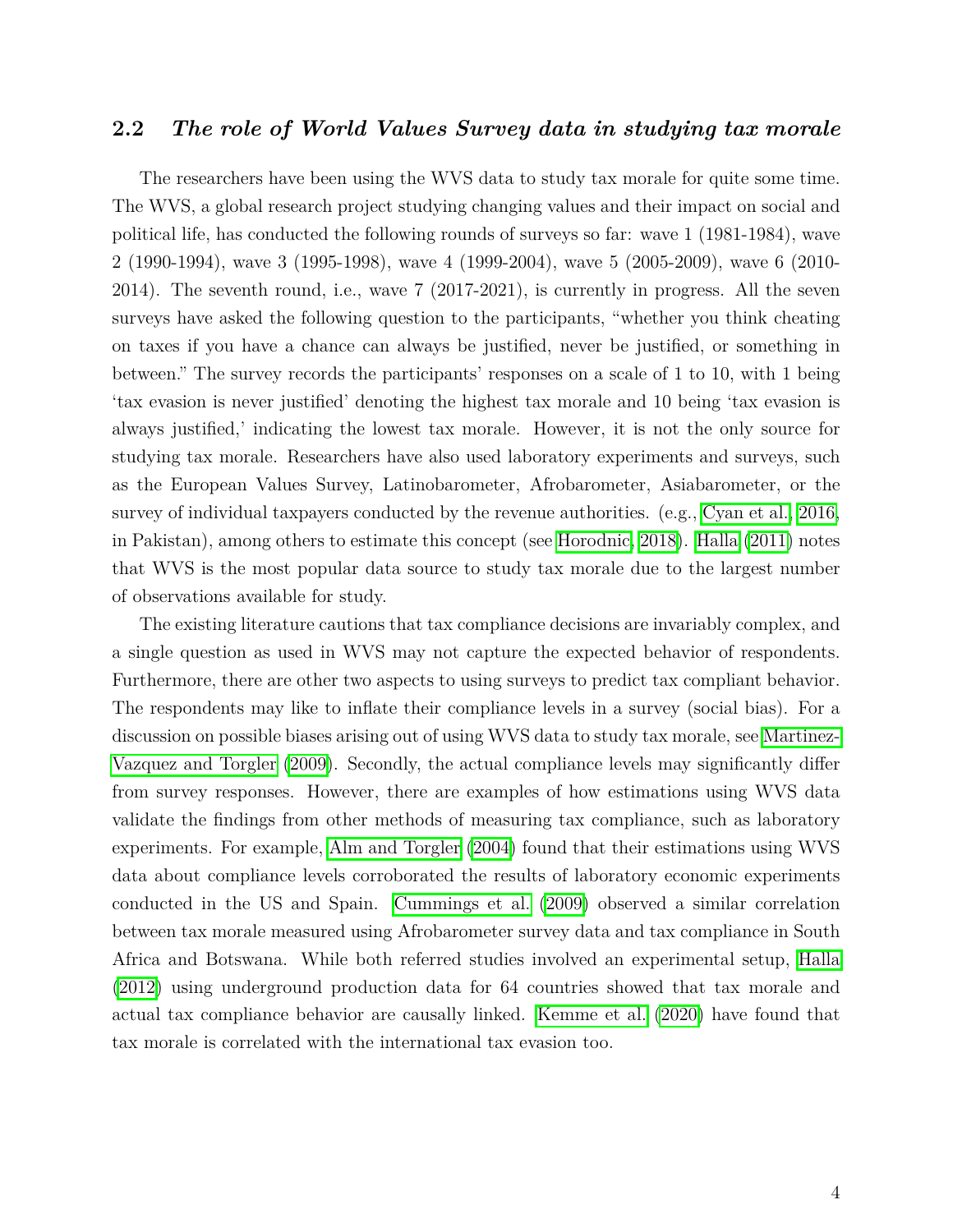#### **2.2** *The role of World Values Survey data in studying tax morale*

The researchers have been using the WVS data to study tax morale for quite some time. The WVS, a global research project studying changing values and their impact on social and political life, has conducted the following rounds of surveys so far: wave 1 (1981-1984), wave 2 (1990-1994), wave 3 (1995-1998), wave 4 (1999-2004), wave 5 (2005-2009), wave 6 (2010- 2014). The seventh round, i.e., wave 7 (2017-2021), is currently in progress. All the seven surveys have asked the following question to the participants, "whether you think cheating on taxes if you have a chance can always be justified, never be justified, or something in between." The survey records the participants' responses on a scale of 1 to 10, with 1 being 'tax evasion is never justified' denoting the highest tax morale and 10 being 'tax evasion is always justified,' indicating the lowest tax morale. However, it is not the only source for studying tax morale. Researchers have also used laboratory experiments and surveys, such as the European Values Survey, Latinobarometer, Afrobarometer, Asiabarometer, or the survey of individual taxpayers conducted by the revenue authorities. (e.g., [Cyan et al., 2016,](#page-23-4) in Pakistan), among others to estimate this concept (see [Horodnic, 2018\)](#page-23-5). [Halla](#page-23-6) [\(2011\)](#page-23-6) notes that WVS is the most popular data source to study tax morale due to the largest number of observations available for study.

The existing literature cautions that tax compliance decisions are invariably complex, and a single question as used in WVS may not capture the expected behavior of respondents. Furthermore, there are other two aspects to using surveys to predict tax compliant behavior. The respondents may like to inflate their compliance levels in a survey (social bias). For a discussion on possible biases arising out of using WVS data to study tax morale, see [Martinez-](#page-24-8)[Vazquez and Torgler](#page-24-8) [\(2009\)](#page-24-8). Secondly, the actual compliance levels may significantly differ from survey responses. However, there are examples of how estimations using WVS data validate the findings from other methods of measuring tax compliance, such as laboratory experiments. For example, [Alm and Torgler](#page-23-7) [\(2004\)](#page-23-7) found that their estimations using WVS data about compliance levels corroborated the results of laboratory economic experiments conducted in the US and Spain. [Cummings et al.](#page-23-8) [\(2009\)](#page-23-8) observed a similar correlation between tax morale measured using Afrobarometer survey data and tax compliance in South Africa and Botswana. While both referred studies involved an experimental setup, [Halla](#page-23-9) [\(2012\)](#page-23-9) using underground production data for 64 countries showed that tax morale and actual tax compliance behavior are causally linked. [Kemme et al.](#page-23-10)  $(2020)$  have found that tax morale is correlated with the international tax evasion too.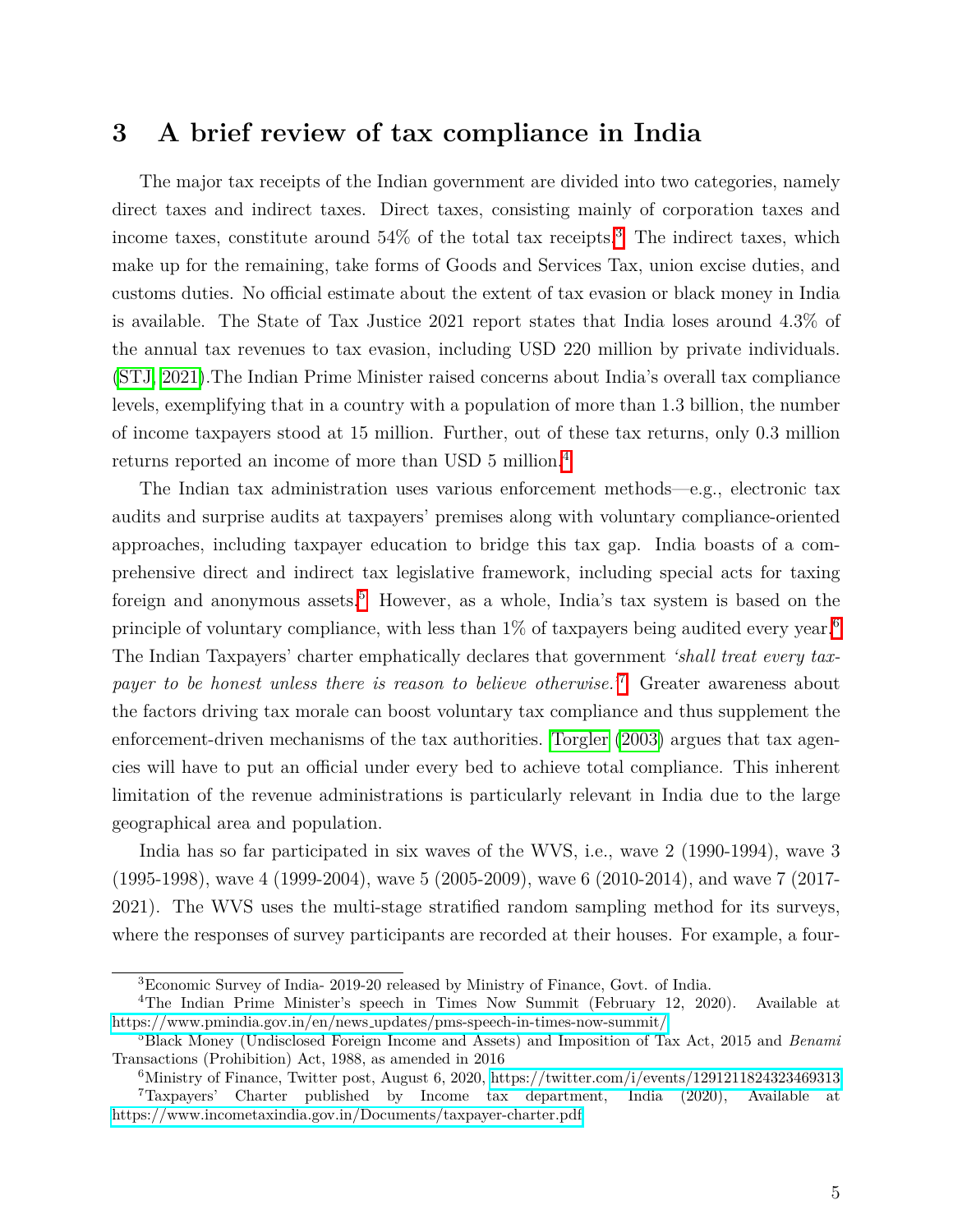## **3 A brief review of tax compliance in India**

The major tax receipts of the Indian government are divided into two categories, namely direct taxes and indirect taxes. Direct taxes, consisting mainly of corporation taxes and income taxes, constitute around  $54\%$  of the total tax receipts.<sup>[3](#page-1-0)</sup> The indirect taxes, which make up for the remaining, take forms of Goods and Services Tax, union excise duties, and customs duties. No official estimate about the extent of tax evasion or black money in India is available. The State of Tax Justice 2021 report states that India loses around 4.3% of the annual tax revenues to tax evasion, including USD 220 million by private individuals. [\(STJ, 2021\)](#page-24-0).The Indian Prime Minister raised concerns about India's overall tax compliance levels, exemplifying that in a country with a population of more than 1.3 billion, the number of income taxpayers stood at 15 million. Further, out of these tax returns, only 0.3 million returns reported an income of more than USD 5 million.<sup>[4](#page-1-0)</sup>

The Indian tax administration uses various enforcement methods—e.g., electronic tax audits and surprise audits at taxpayers' premises along with voluntary compliance-oriented approaches, including taxpayer education to bridge this tax gap. India boasts of a comprehensive direct and indirect tax legislative framework, including special acts for taxing foreign and anonymous assets.<sup>[5](#page-1-0)</sup> However, as a whole, India's tax system is based on the principle of voluntary compliance, with less than  $1\%$  of taxpayers being audited every year.<sup>[6](#page-1-0)</sup> The Indian Taxpayers' charter emphatically declares that government *'shall treat every taxpayer to be honest unless there is reason to believe otherwise.*<sup>[[7](#page-1-0)]</sup> Greater awareness about the factors driving tax morale can boost voluntary tax compliance and thus supplement the enforcement-driven mechanisms of the tax authorities. [Torgler](#page-24-9) [\(2003\)](#page-24-9) argues that tax agencies will have to put an official under every bed to achieve total compliance. This inherent limitation of the revenue administrations is particularly relevant in India due to the large geographical area and population.

India has so far participated in six waves of the WVS, i.e., wave 2 (1990-1994), wave 3 (1995-1998), wave 4 (1999-2004), wave 5 (2005-2009), wave 6 (2010-2014), and wave 7 (2017- 2021). The WVS uses the multi-stage stratified random sampling method for its surveys, where the responses of survey participants are recorded at their houses. For example, a four-

<sup>3</sup>Economic Survey of India- 2019-20 released by Ministry of Finance, Govt. of India.

<sup>4</sup>The Indian Prime Minister's speech in Times Now Summit (February 12, 2020). Available at https://www.pmindia.gov.in/en/news [updates/pms-speech-in-times-now-summit/](https://www.pmindia.gov.in/en/news_updates/pms-speech-in-times-now-summit/)

<sup>5</sup>Black Money (Undisclosed Foreign Income and Assets) and Imposition of Tax Act, 2015 and *Benami* Transactions (Prohibition) Act, 1988, as amended in 2016

<sup>6</sup>Ministry of Finance, Twitter post, August 6, 2020,<https://twitter.com/i/events/1291211824323469313> <sup>7</sup>Taxpayers' Charter published by Income tax department, India (2020), Available at <https://www.incometaxindia.gov.in/Documents/taxpayer-charter.pdf>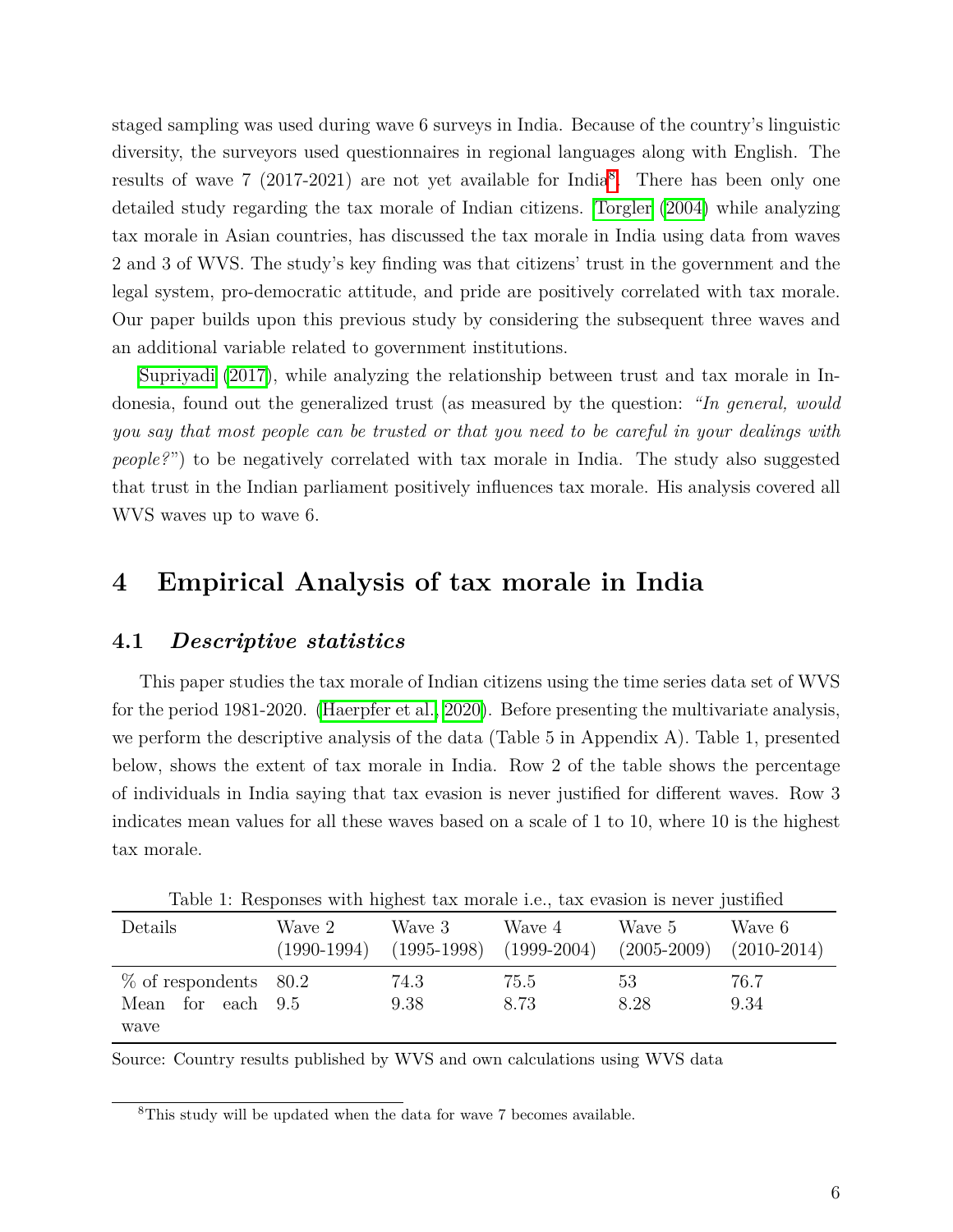staged sampling was used during wave 6 surveys in India. Because of the country's linguistic diversity, the surveyors used questionnaires in regional languages along with English. The results of wave 7 (2017-2021) are not yet available for India<sup>[8](#page-1-0)</sup>. There has been only one detailed study regarding the tax morale of Indian citizens. [Torgler](#page-24-2) [\(2004\)](#page-24-2) while analyzing tax morale in Asian countries, has discussed the tax morale in India using data from waves 2 and 3 of WVS. The study's key finding was that citizens' trust in the government and the legal system, pro-democratic attitude, and pride are positively correlated with tax morale. Our paper builds upon this previous study by considering the subsequent three waves and an additional variable related to government institutions.

[Supriyadi](#page-24-10) [\(2017\)](#page-24-10), while analyzing the relationship between trust and tax morale in Indonesia, found out the generalized trust (as measured by the question: *"In general, would you say that most people can be trusted or that you need to be careful in your dealings with people?*") to be negatively correlated with tax morale in India. The study also suggested that trust in the Indian parliament positively influences tax morale. His analysis covered all WVS waves up to wave 6.

## **4 Empirical Analysis of tax morale in India**

#### **4.1** *Descriptive statistics*

This paper studies the tax morale of Indian citizens using the time series data set of WVS for the period 1981-2020. (Haerpfer et al.,  $2020$ ). Before presenting the multivariate analysis, we perform the descriptive analysis of the data (Table 5 in Appendix A). Table 1, presented below, shows the extent of tax morale in India. Row 2 of the table shows the percentage of individuals in India saying that tax evasion is never justified for different waves. Row 3 indicates mean values for all these waves based on a scale of 1 to 10, where 10 is the highest tax morale.

| Twore It reception with indicate can increase now can everyon it not partition |                         |              |                                       |            |                                       |  |  |  |  |  |  |  |
|--------------------------------------------------------------------------------|-------------------------|--------------|---------------------------------------|------------|---------------------------------------|--|--|--|--|--|--|--|
| Details                                                                        | Wave 2<br>$(1990-1994)$ | Wave 3       | Wave 4<br>$(1995-1998)$ $(1999-2004)$ | Wave 5     | Wave 6<br>$(2005-2009)$ $(2010-2014)$ |  |  |  |  |  |  |  |
| $\%$ of respondents 80.2<br>Mean for each 9.5                                  |                         | 74.3<br>9.38 | 75.5<br>8.73                          | 53<br>8.28 | 76.7<br>9.34                          |  |  |  |  |  |  |  |
| wave                                                                           |                         |              |                                       |            |                                       |  |  |  |  |  |  |  |

Table 1: Responses with highest tax morale i.e., tax evasion is never justified

Source: Country results published by WVS and own calculations using WVS data

<sup>8</sup>This study will be updated when the data for wave 7 becomes available.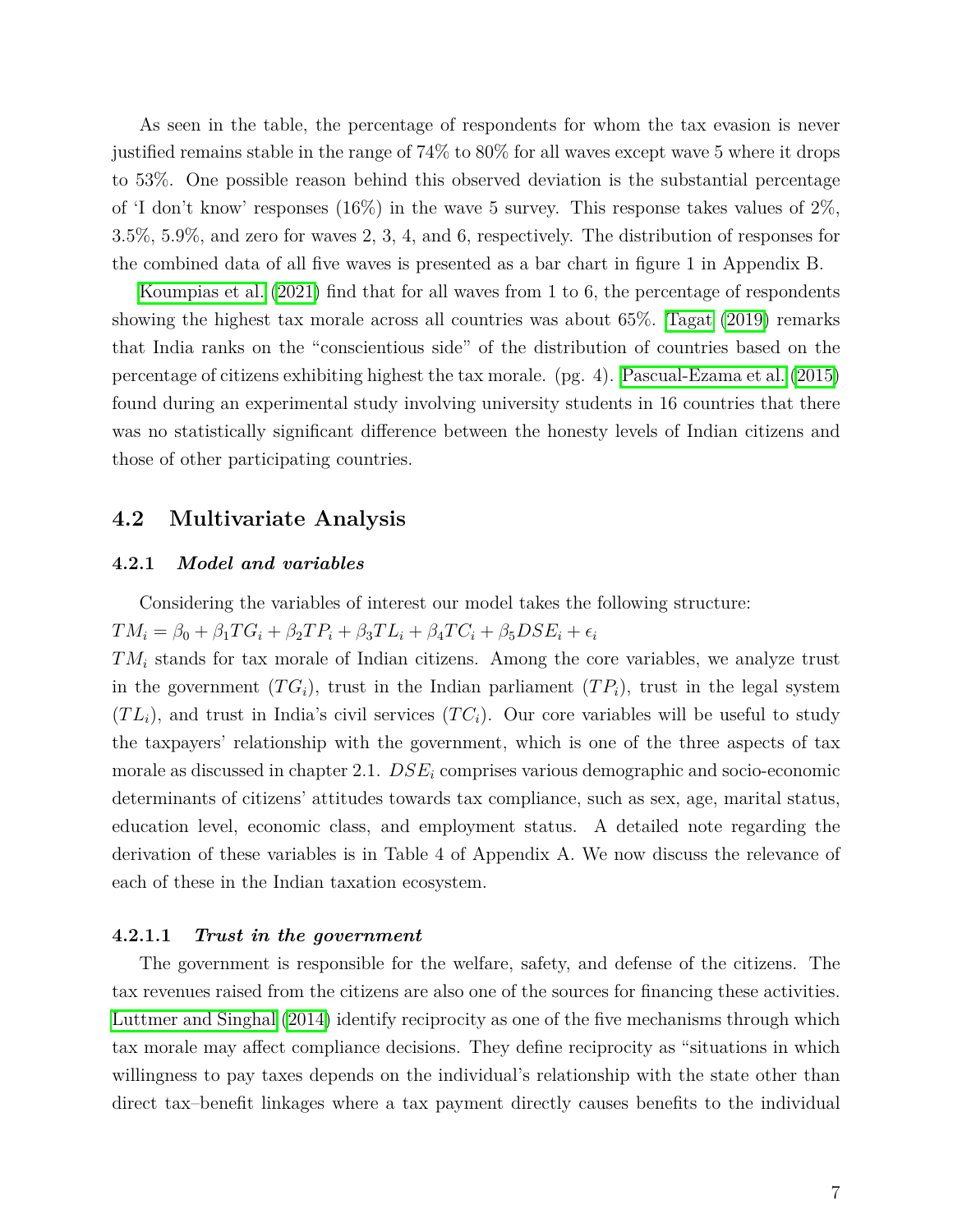As seen in the table, the percentage of respondents for whom the tax evasion is never justified remains stable in the range of 74% to 80% for all waves except wave 5 where it drops to 53%. One possible reason behind this observed deviation is the substantial percentage of 'I don't know' responses (16%) in the wave 5 survey. This response takes values of  $2\%$ , 3.5%, 5.9%, and zero for waves 2, 3, 4, and 6, respectively. The distribution of responses for the combined data of all five waves is presented as a bar chart in figure 1 in Appendix B.

[Koumpias et al.](#page-23-12)  $(2021)$  find that for all waves from 1 to 6, the percentage of respondents showing the highest tax morale across all countries was about  $65\%$ . [Tagat](#page-24-11) [\(2019\)](#page-24-11) remarks that India ranks on the "conscientious side" of the distribution of countries based on the percentage of citizens exhibiting highest the tax morale. (pg. 4). [Pascual-Ezama et al.](#page-24-12) [\(2015\)](#page-24-12) found during an experimental study involving university students in 16 countries that there was no statistically significant difference between the honesty levels of Indian citizens and those of other participating countries.

#### **4.2 Multivariate Analysis**

#### **4.2.1** *Model and variables*

Considering the variables of interest our model takes the following structure:

 $TM_i = \beta_0 + \beta_1 TG_i + \beta_2 TP_i + \beta_3 TL_i + \beta_4 TC_i + \beta_5 DSE_i + \epsilon_i$ 

*TM<sup>i</sup>* stands for tax morale of Indian citizens. Among the core variables, we analyze trust in the government  $(TG_i)$ , trust in the Indian parliament  $(TP_i)$ , trust in the legal system  $(T L_i)$ , and trust in India's civil services  $(T C_i)$ . Our core variables will be useful to study the taxpayers' relationship with the government, which is one of the three aspects of tax morale as discussed in chapter 2.1. *DSE<sup>i</sup>* comprises various demographic and socio-economic determinants of citizens' attitudes towards tax compliance, such as sex, age, marital status, education level, economic class, and employment status. A detailed note regarding the derivation of these variables is in Table 4 of Appendix A. We now discuss the relevance of each of these in the Indian taxation ecosystem.

#### **4.2.1.1** *Trust in the government*

The government is responsible for the welfare, safety, and defense of the citizens. The tax revenues raised from the citizens are also one of the sources for financing these activities. [Luttmer and Singhal](#page-23-13) [\(2014\)](#page-23-13) identify reciprocity as one of the five mechanisms through which tax morale may affect compliance decisions. They define reciprocity as "situations in which willingness to pay taxes depends on the individual's relationship with the state other than direct tax–benefit linkages where a tax payment directly causes benefits to the individual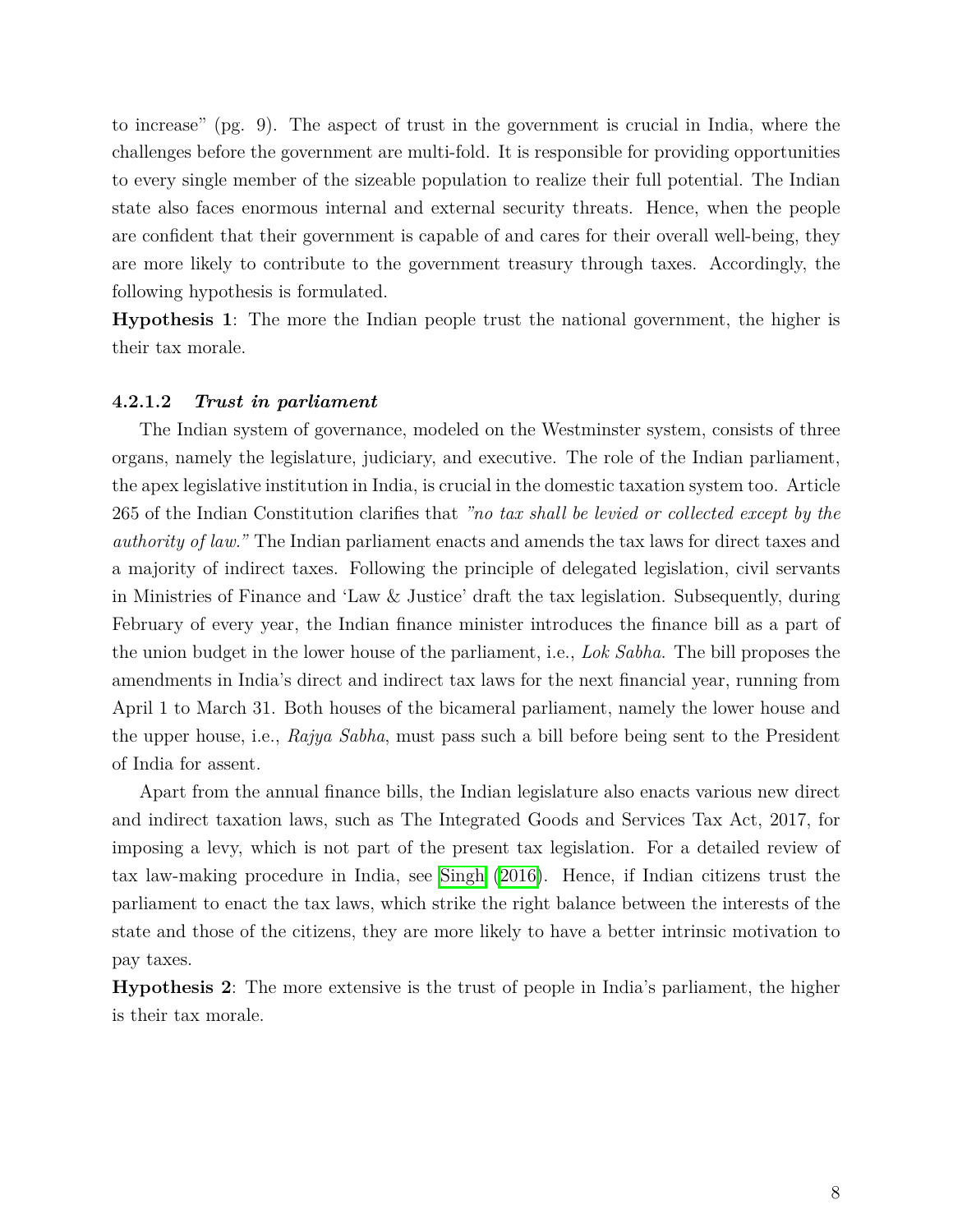to increase" (pg. 9). The aspect of trust in the government is crucial in India, where the challenges before the government are multi-fold. It is responsible for providing opportunities to every single member of the sizeable population to realize their full potential. The Indian state also faces enormous internal and external security threats. Hence, when the people are confident that their government is capable of and cares for their overall well-being, they are more likely to contribute to the government treasury through taxes. Accordingly, the following hypothesis is formulated.

**Hypothesis 1**: The more the Indian people trust the national government, the higher is their tax morale.

#### **4.2.1.2** *Trust in parliament*

The Indian system of governance, modeled on the Westminster system, consists of three organs, namely the legislature, judiciary, and executive. The role of the Indian parliament, the apex legislative institution in India, is crucial in the domestic taxation system too. Article 265 of the Indian Constitution clarifies that *"no tax shall be levied or collected except by the authority of law."* The Indian parliament enacts and amends the tax laws for direct taxes and a majority of indirect taxes. Following the principle of delegated legislation, civil servants in Ministries of Finance and 'Law & Justice' draft the tax legislation. Subsequently, during February of every year, the Indian finance minister introduces the finance bill as a part of the union budget in the lower house of the parliament, i.e., *Lok Sabha*. The bill proposes the amendments in India's direct and indirect tax laws for the next financial year, running from April 1 to March 31. Both houses of the bicameral parliament, namely the lower house and the upper house, i.e., *Rajya Sabha*, must pass such a bill before being sent to the President of India for assent.

Apart from the annual finance bills, the Indian legislature also enacts various new direct and indirect taxation laws, such as The Integrated Goods and Services Tax Act, 2017, for imposing a levy, which is not part of the present tax legislation. For a detailed review of tax law-making procedure in India, see [Singh](#page-24-13) [\(2016\)](#page-24-13). Hence, if Indian citizens trust the parliament to enact the tax laws, which strike the right balance between the interests of the state and those of the citizens, they are more likely to have a better intrinsic motivation to pay taxes.

**Hypothesis 2**: The more extensive is the trust of people in India's parliament, the higher is their tax morale.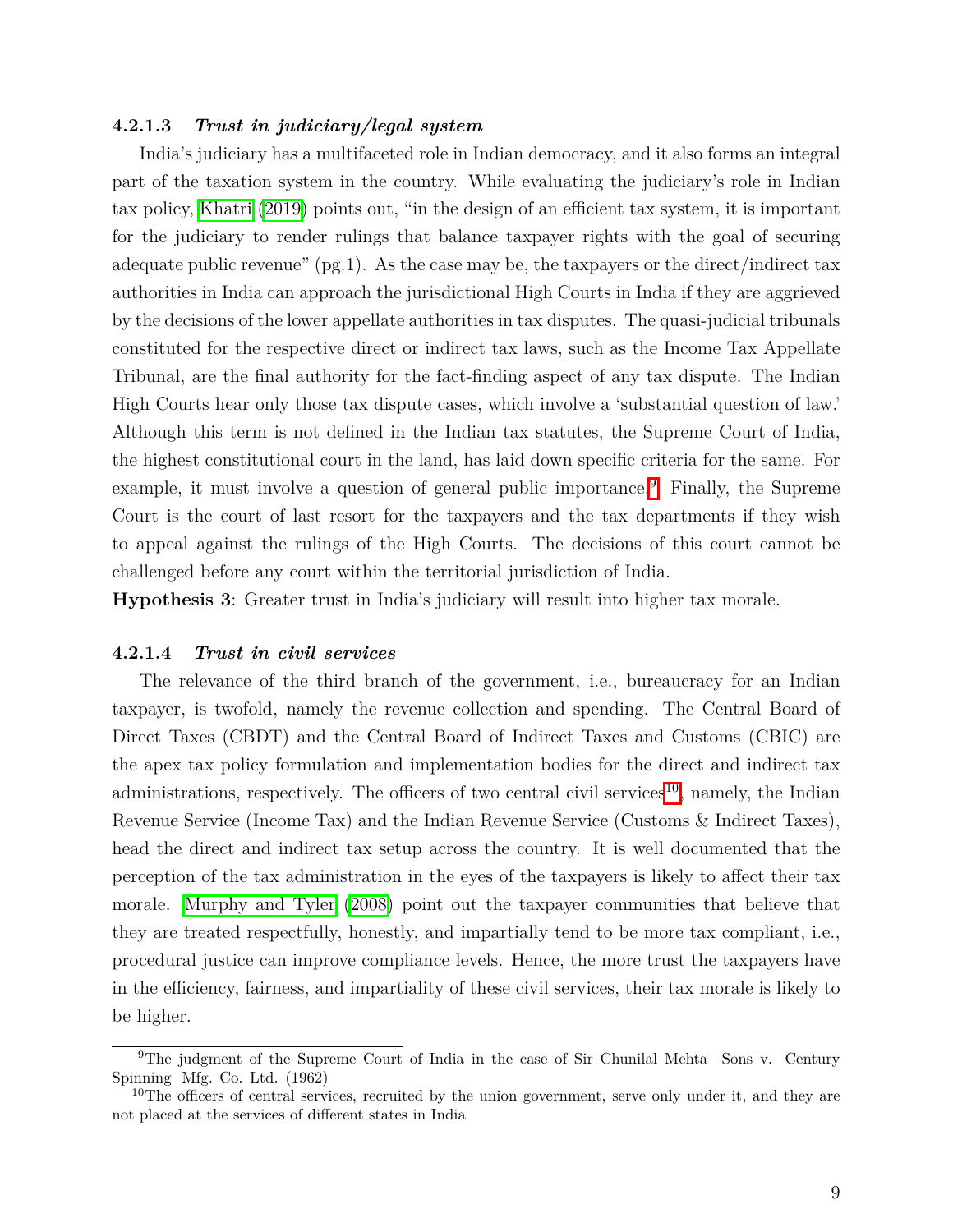#### **4.2.1.3** *Trust in judiciary/legal system*

India's judiciary has a multifaceted role in Indian democracy, and it also forms an integral part of the taxation system in the country. While evaluating the judiciary's role in Indian tax policy, [Khatri](#page-23-14) [\(2019\)](#page-23-14) points out, "in the design of an efficient tax system, it is important for the judiciary to render rulings that balance taxpayer rights with the goal of securing adequate public revenue"  $(pg.1)$ . As the case may be, the taxpayers or the direct/indirect tax authorities in India can approach the jurisdictional High Courts in India if they are aggrieved by the decisions of the lower appellate authorities in tax disputes. The quasi-judicial tribunals constituted for the respective direct or indirect tax laws, such as the Income Tax Appellate Tribunal, are the final authority for the fact-finding aspect of any tax dispute. The Indian High Courts hear only those tax dispute cases, which involve a 'substantial question of law.' Although this term is not defined in the Indian tax statutes, the Supreme Court of India, the highest constitutional court in the land, has laid down specific criteria for the same. For example, it must involve a question of general public importance.  $\mathcal{P}$  Finally, the Supreme Court is the court of last resort for the taxpayers and the tax departments if they wish to appeal against the rulings of the High Courts. The decisions of this court cannot be challenged before any court within the territorial jurisdiction of India.

**Hypothesis 3**: Greater trust in India's judiciary will result into higher tax morale.

#### **4.2.1.4** *Trust in civil services*

The relevance of the third branch of the government, i.e., bureaucracy for an Indian taxpayer, is twofold, namely the revenue collection and spending. The Central Board of Direct Taxes (CBDT) and the Central Board of Indirect Taxes and Customs (CBIC) are the apex tax policy formulation and implementation bodies for the direct and indirect tax administrations, respectively. The officers of two central civil services<sup><sup>[10](#page-1-0)</sup>, namely, the Indian</sup> Revenue Service (Income Tax) and the Indian Revenue Service (Customs & Indirect Taxes), head the direct and indirect tax setup across the country. It is well documented that the perception of the tax administration in the eyes of the taxpayers is likely to affect their tax morale. [Murphy and Tyler](#page-24-14)  $(2008)$  point out the taxpayer communities that believe that they are treated respectfully, honestly, and impartially tend to be more tax compliant, i.e., procedural justice can improve compliance levels. Hence, the more trust the taxpayers have in the efficiency, fairness, and impartiality of these civil services, their tax morale is likely to be higher.

<sup>&</sup>lt;sup>9</sup>The judgment of the Supreme Court of India in the case of Sir Chunilal Mehta Sons v. Century Spinning Mfg. Co. Ltd. (1962)

 $10$ The officers of central services, recruited by the union government, serve only under it, and they are not placed at the services of different states in India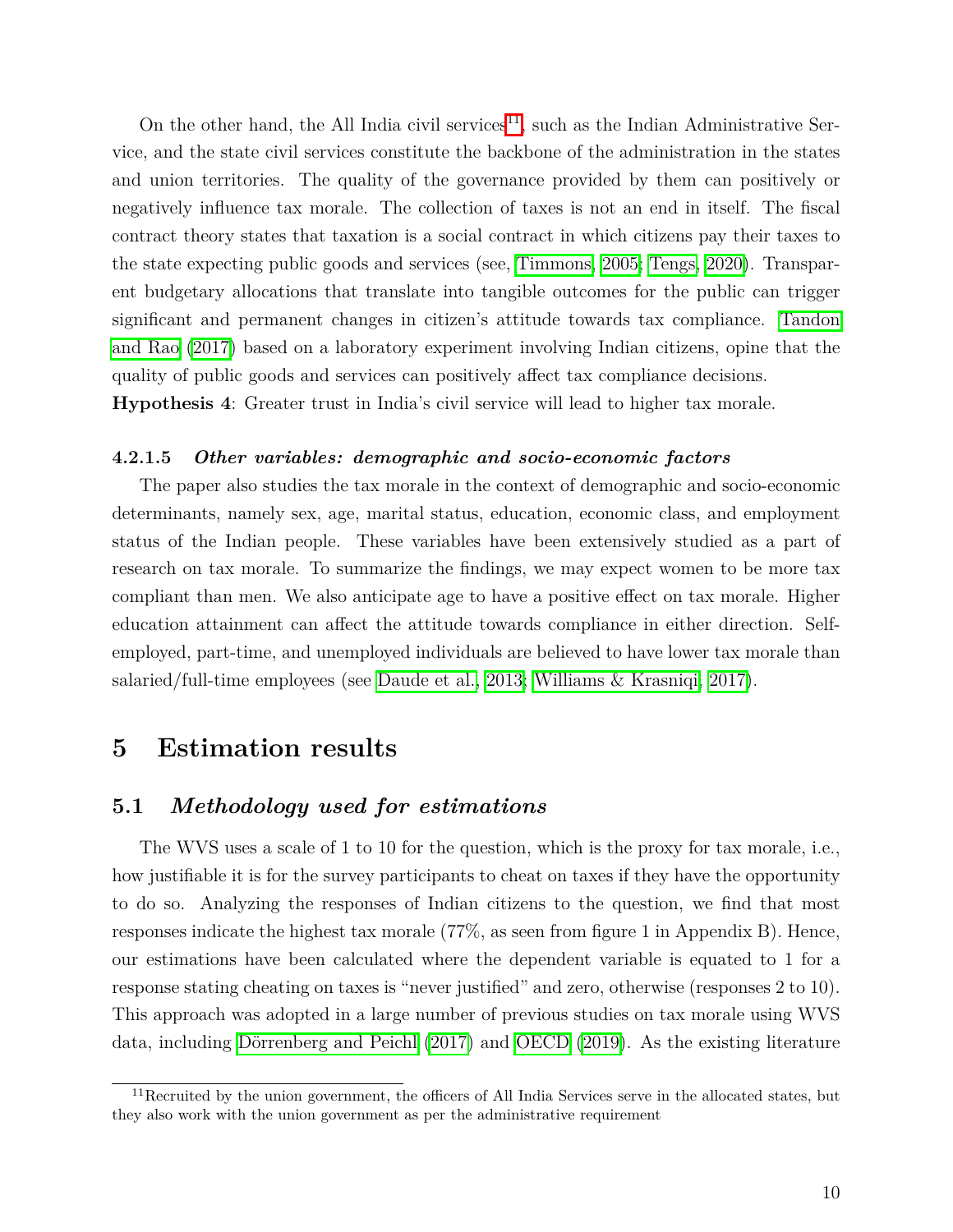On the other hand, the All India civil services  $\Pi$ , such as the Indian Administrative Service, and the state civil services constitute the backbone of the administration in the states and union territories. The quality of the governance provided by them can positively or negatively influence tax morale. The collection of taxes is not an end in itself. The fiscal contract theory states that taxation is a social contract in which citizens pay their taxes to the state expecting public goods and services (see, [Timmons, 2005;](#page-24-15) [Tengs, 2020\)](#page-24-16). Transparent budgetary allocations that translate into tangible outcomes for the public can trigger significant and permanent changes in citizen's attitude towards tax compliance. [Tandon](#page-24-17) [and Rao](#page-24-17) [\(2017\)](#page-24-17) based on a laboratory experiment involving Indian citizens, opine that the quality of public goods and services can positively affect tax compliance decisions. **Hypothesis 4**: Greater trust in India's civil service will lead to higher tax morale.

#### **4.2.1.5** *Other variables: demographic and socio-economic factors*

The paper also studies the tax morale in the context of demographic and socio-economic determinants, namely sex, age, marital status, education, economic class, and employment status of the Indian people. These variables have been extensively studied as a part of research on tax morale. To summarize the findings, we may expect women to be more tax compliant than men. We also anticipate age to have a positive effect on tax morale. Higher education attainment can affect the attitude towards compliance in either direction. Selfemployed, part-time, and unemployed individuals are believed to have lower tax morale than salaried/full-time employees (see [Daude et al., 2013;](#page-23-15) [Williams & Krasniqi, 2017\)](#page-24-18).

# **5 Estimation results**

### **5.1** *Methodology used for estimations*

The WVS uses a scale of 1 to 10 for the question, which is the proxy for tax morale, i.e., how justifiable it is for the survey participants to cheat on taxes if they have the opportunity to do so. Analyzing the responses of Indian citizens to the question, we find that most responses indicate the highest tax morale (77%, as seen from figure 1 in Appendix B). Hence, our estimations have been calculated where the dependent variable is equated to 1 for a response stating cheating on taxes is "never justified" and zero, otherwise (responses 2 to 10). This approach was adopted in a large number of previous studies on tax morale using WVS data, including Dörrenberg and Peichl  $(2017)$  and  $\overline{OECD}$   $(2019)$ . As the existing literature

 $11$ Recruited by the union government, the officers of All India Services serve in the allocated states, but they also work with the union government as per the administrative requirement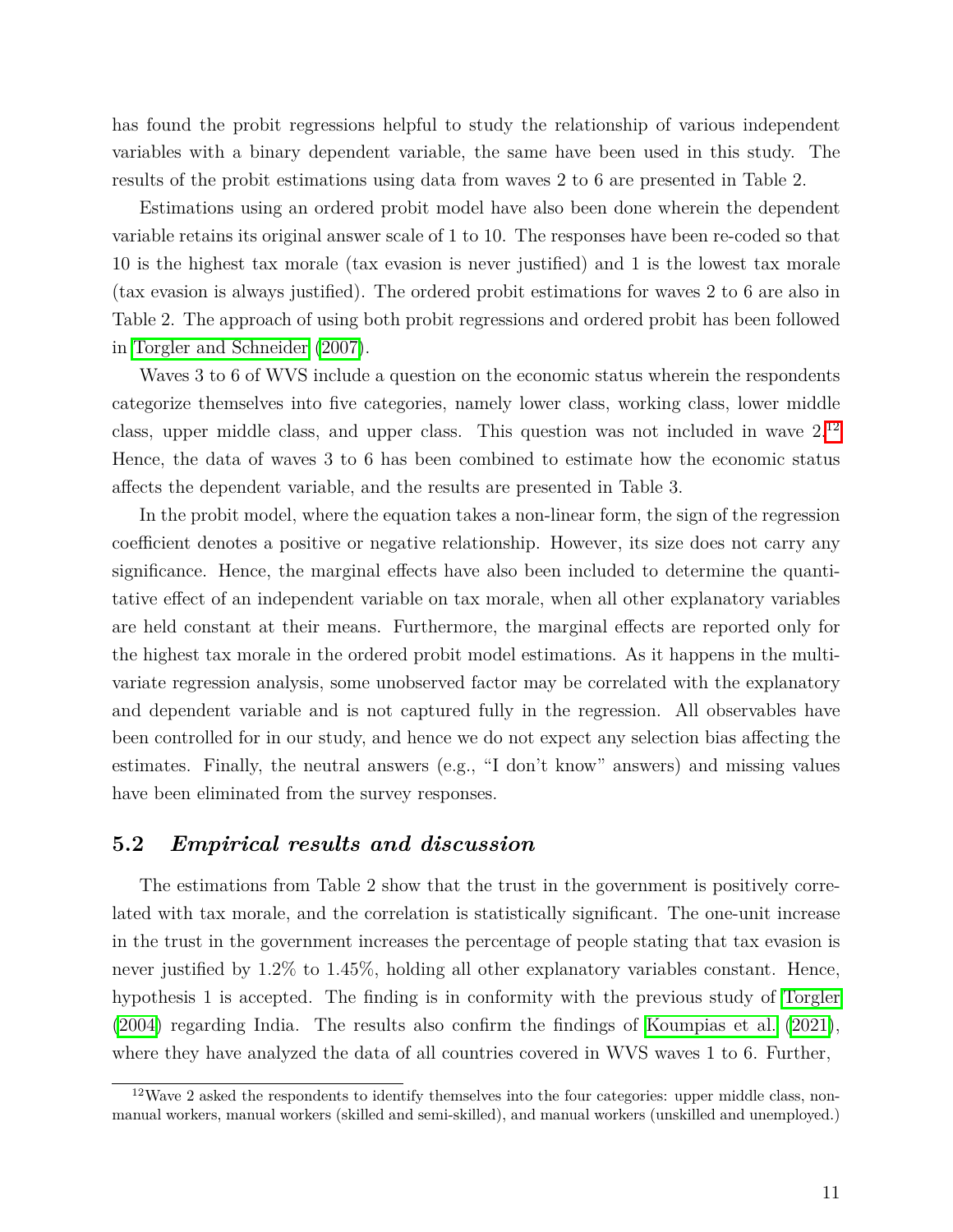has found the probit regressions helpful to study the relationship of various independent variables with a binary dependent variable, the same have been used in this study. The results of the probit estimations using data from waves 2 to 6 are presented in Table 2.

Estimations using an ordered probit model have also been done wherein the dependent variable retains its original answer scale of 1 to 10. The responses have been re-coded so that 10 is the highest tax morale (tax evasion is never justified) and 1 is the lowest tax morale (tax evasion is always justified). The ordered probit estimations for waves 2 to 6 are also in Table 2. The approach of using both probit regressions and ordered probit has been followed in [Torgler and Schneider](#page-24-20) [\(2007\)](#page-24-20).

Waves 3 to 6 of WVS include a question on the economic status wherein the respondents categorize themselves into five categories, namely lower class, working class, lower middle class, upper middle class, and upper class. This question was not included in wave  $2^{12}$  $2^{12}$  $2^{12}$ Hence, the data of waves 3 to 6 has been combined to estimate how the economic status affects the dependent variable, and the results are presented in Table 3.

In the probit model, where the equation takes a non-linear form, the sign of the regression coefficient denotes a positive or negative relationship. However, its size does not carry any significance. Hence, the marginal effects have also been included to determine the quantitative effect of an independent variable on tax morale, when all other explanatory variables are held constant at their means. Furthermore, the marginal effects are reported only for the highest tax morale in the ordered probit model estimations. As it happens in the multivariate regression analysis, some unobserved factor may be correlated with the explanatory and dependent variable and is not captured fully in the regression. All observables have been controlled for in our study, and hence we do not expect any selection bias affecting the estimates. Finally, the neutral answers (e.g., "I don't know" answers) and missing values have been eliminated from the survey responses.

#### **5.2** *Empirical results and discussion*

The estimations from Table 2 show that the trust in the government is positively correlated with tax morale, and the correlation is statistically significant. The one-unit increase in the trust in the government increases the percentage of people stating that tax evasion is never justified by 1.2% to 1.45%, holding all other explanatory variables constant. Hence, hypothesis 1 is accepted. The finding is in conformity with the previous study of [Torgler](#page-24-2)  $(2004)$  regarding India. The results also confirm the findings of [Koumpias et al.](#page-23-12)  $(2021)$ , where they have analyzed the data of all countries covered in WVS waves 1 to 6. Further,

 $12$ Wave 2 asked the respondents to identify themselves into the four categories: upper middle class, nonmanual workers, manual workers (skilled and semi-skilled), and manual workers (unskilled and unemployed.)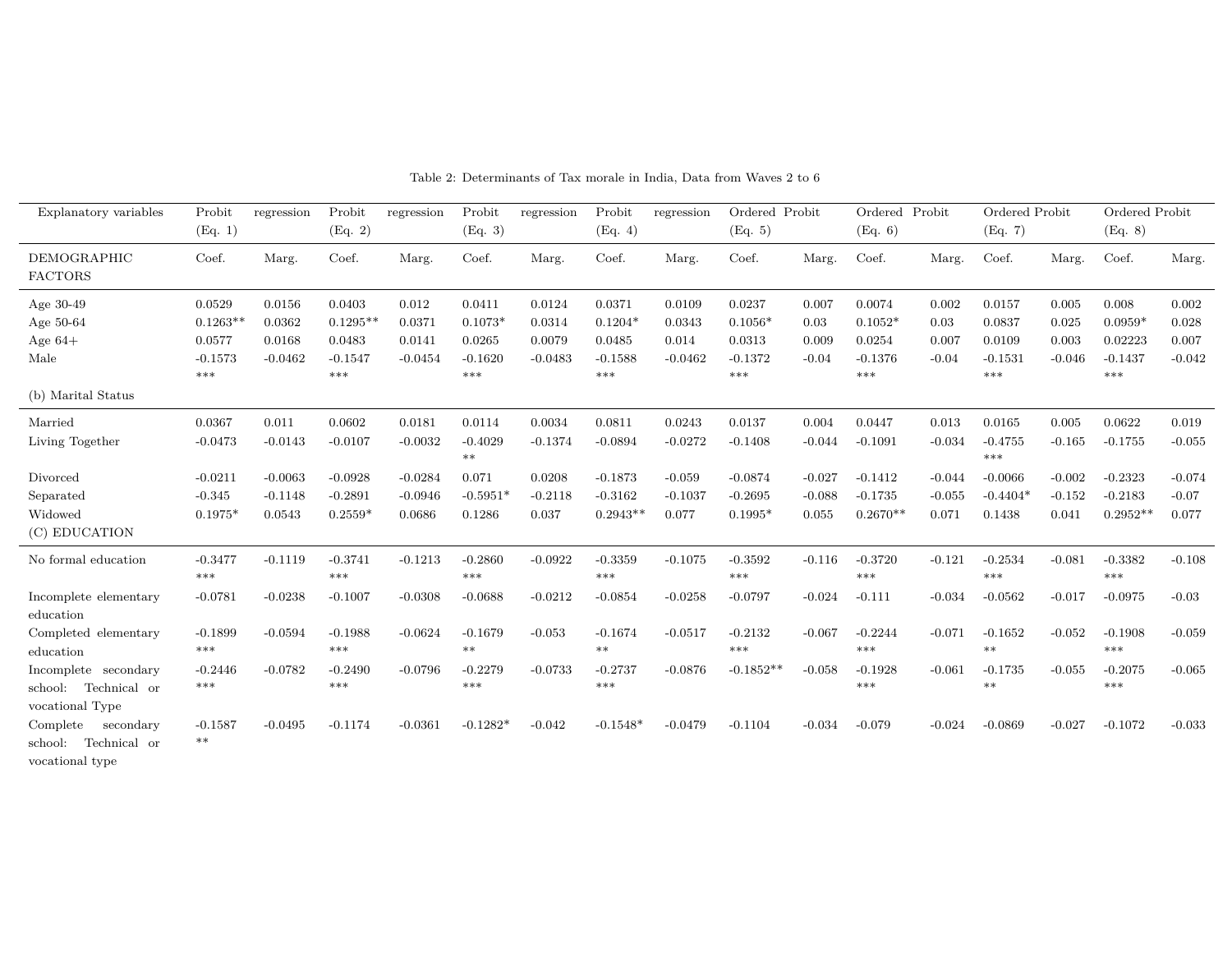| Explanatory variables                                                                  | Probit<br>(Eq. 1)                  | regression                       | Probit<br>(Eq. 2)                   | regression                       | Probit<br>(Eq. 3)             | regression                   | Probit<br>(Eq. 4)                    | regression                     | Ordered Probit<br>(Eq. 5)           |                               | Ordered Probit<br>(Eq. 6)            |                               | Ordered Probit<br>(Eq. 7)         |                               | Ordered Probit<br>(Eq. 8)            |                              |
|----------------------------------------------------------------------------------------|------------------------------------|----------------------------------|-------------------------------------|----------------------------------|-------------------------------|------------------------------|--------------------------------------|--------------------------------|-------------------------------------|-------------------------------|--------------------------------------|-------------------------------|-----------------------------------|-------------------------------|--------------------------------------|------------------------------|
| DEMOGRAPHIC<br><b>FACTORS</b>                                                          | Coef.                              | Marg.                            | Coef.                               | Marg.                            | Coef.                         | Marg.                        | Coef.                                | Marg.                          | Coef.                               | Marg.                         | Coef.                                | Marg.                         | Coef.                             | Marg.                         | Coef.                                | Marg.                        |
| Age 30-49<br>Age 50-64                                                                 | 0.0529<br>$0.1263**$               | 0.0156<br>0.0362                 | 0.0403<br>$0.1295**$                | 0.012<br>0.0371                  | 0.0411<br>$0.1073*$           | 0.0124<br>0.0314             | 0.0371<br>$0.1204*$                  | 0.0109<br>0.0343               | 0.0237<br>$0.1056*$                 | 0.007<br>0.03                 | 0.0074<br>$0.1052*$                  | 0.002<br>0.03                 | 0.0157<br>0.0837                  | 0.005<br>0.025                | 0.008<br>$0.0959*$                   | 0.002<br>0.028               |
| Age $64+$<br>Male                                                                      | 0.0577<br>$-0.1573$<br>***         | 0.0168<br>$-0.0462$              | 0.0483<br>$-0.1547$<br>***          | 0.0141<br>$-0.0454$              | 0.0265<br>$-0.1620$<br>***    | 0.0079<br>$-0.0483$          | 0.0485<br>$-0.1588$<br>***           | 0.014<br>$-0.0462$             | 0.0313<br>$-0.1372$<br>***          | 0.009<br>$-0.04$              | 0.0254<br>$-0.1376$<br>***           | 0.007<br>$-0.04$              | 0.0109<br>$-0.1531$<br>$***$      | 0.003<br>$-0.046$             | 0.02223<br>$-0.1437$<br>***          | 0.007<br>$-0.042$            |
| (b) Marital Status                                                                     |                                    |                                  |                                     |                                  |                               |                              |                                      |                                |                                     |                               |                                      |                               |                                   |                               |                                      |                              |
| Married<br>Living Together                                                             | 0.0367<br>$-0.0473$                | 0.011<br>$-0.0143$               | 0.0602<br>$-0.0107$                 | 0.0181<br>$-0.0032$              | 0.0114<br>$-0.4029$<br>$**$   | 0.0034<br>$-0.1374$          | 0.0811<br>$-0.0894$                  | 0.0243<br>$-0.0272$            | 0.0137<br>$-0.1408$                 | 0.004<br>$-0.044$             | 0.0447<br>$-0.1091$                  | 0.013<br>$-0.034$             | 0.0165<br>$-0.4755$<br>$***$      | 0.005<br>$-0.165$             | 0.0622<br>$-0.1755$                  | 0.019<br>$-0.055$            |
| Divorced<br>Separated<br>Widowed<br>(C) EDUCATION                                      | $-0.0211$<br>$-0.345$<br>$0.1975*$ | $-0.0063$<br>$-0.1148$<br>0.0543 | $-0.0928$<br>$-0.2891$<br>$0.2559*$ | $-0.0284$<br>$-0.0946$<br>0.0686 | 0.071<br>$-0.5951*$<br>0.1286 | 0.0208<br>$-0.2118$<br>0.037 | $-0.1873$<br>$-0.3162$<br>$0.2943**$ | $-0.059$<br>$-0.1037$<br>0.077 | $-0.0874$<br>$-0.2695$<br>$0.1995*$ | $-0.027$<br>$-0.088$<br>0.055 | $-0.1412$<br>$-0.1735$<br>$0.2670**$ | $-0.044$<br>$-0.055$<br>0.071 | $-0.0066$<br>$-0.4404*$<br>0.1438 | $-0.002$<br>$-0.152$<br>0.041 | $-0.2323$<br>$-0.2183$<br>$0.2952**$ | $-0.074$<br>$-0.07$<br>0.077 |
| No formal education                                                                    | $-0.3477$<br>$***$                 | $-0.1119$                        | $-0.3741$<br>$***$                  | $-0.1213$                        | $-0.2860$<br>***              | $-0.0922$                    | $-0.3359$<br>***                     | $-0.1075$                      | $-0.3592$<br>$***$                  | $-0.116$                      | $-0.3720$<br>***                     | $-0.121$                      | $-0.2534$<br>$***$                | $-0.081$                      | $-0.3382$<br>$***$                   | $-0.108$                     |
| Incomplete elementary<br>education<br>Completed elementary                             | $-0.0781$<br>$-0.1899$             | $-0.0238$<br>$-0.0594$           | $-0.1007$<br>$-0.1988$              | $-0.0308$<br>$-0.0624$           | $-0.0688$<br>$-0.1679$        | $-0.0212$<br>$-0.053$        | $-0.0854$<br>$-0.1674$               | $-0.0258$<br>$-0.0517$         | $-0.0797$<br>$-0.2132$              | $-0.024$<br>$-0.067$          | $-0.111$<br>$-0.2244$                | $-0.034$<br>$-0.071$          | $-0.0562$<br>$-0.1652$            | $-0.017$<br>$-0.052$          | $-0.0975$<br>$-0.1908$               | $-0.03$<br>$-0.059$          |
| education<br>Incomplete secondary<br>Technical or<br>school:                           | $***$<br>$-0.2446$<br>$***$        | $-0.0782$                        | $***$<br>$-0.2490$<br>$***$         | $-0.0796$                        | $**$<br>$-0.2279$<br>***      | $-0.0733$                    | $***$<br>$-0.2737$<br>***            | $-0.0876$                      | $***$<br>$-0.1852**$                | $-0.058$                      | $***$<br>$-0.1928$<br>***            | $-0.061$                      | $***$<br>$-0.1735$<br>$***$       | $-0.055$                      | ***<br>$-0.2075$<br>$***$            | $-0.065$                     |
| vocational Type<br>Complete<br>secondary<br>Technical or<br>school:<br>vocational type | $-0.1587$<br>$***$                 | $-0.0495$                        | $-0.1174$                           | $-0.0361$                        | $-0.1282*$                    | $-0.042$                     | $-0.1548*$                           | $-0.0479$                      | $-0.1104$                           | $-0.034$                      | $-0.079$                             | $-0.024$                      | $-0.0869$                         | $-0.027$                      | $-0.1072$                            | $-0.033$                     |

Table 2: Determinants of Tax morale in India, Data from Waves 2 to 6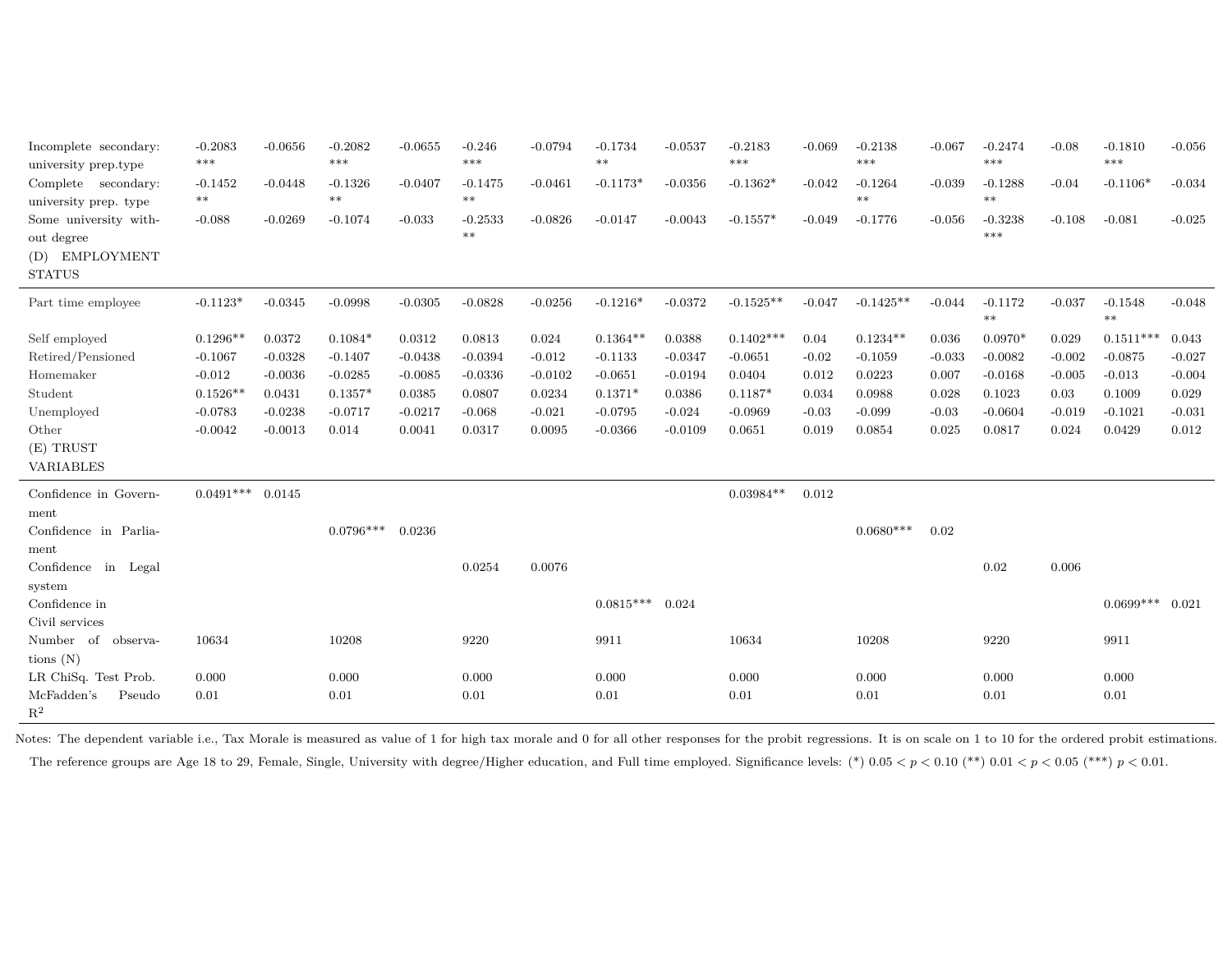| Incomplete secondary:<br>university prep.type | $-0.2083$<br>*** | $-0.0656$ | $-0.2082$<br>$***$ | $-0.0655$ | $-0.246$<br>$***$ | $-0.0794$ | $-0.1734$<br>$**$ | $-0.0537$ | $-0.2183$<br>$***$ | $-0.069$ | $-0.2138$<br>$***$ | $-0.067$ | $-0.2474$<br>$***$ | $-0.08$  | $-0.1810$<br>***  | $-0.056$ |
|-----------------------------------------------|------------------|-----------|--------------------|-----------|-------------------|-----------|-------------------|-----------|--------------------|----------|--------------------|----------|--------------------|----------|-------------------|----------|
| Complete secondary:                           | $-0.1452$        | $-0.0448$ | $-0.1326$          | $-0.0407$ | $-0.1475$         | $-0.0461$ | $-0.1173*$        | $-0.0356$ | $-0.1362*$         | $-0.042$ | $-0.1264$          | $-0.039$ | $-0.1288$          | $-0.04$  | $-0.1106*$        | $-0.034$ |
| university prep. type                         | $***$            |           | $***$              |           | $***$             |           |                   |           |                    |          | $***$              |          | $***$              |          |                   |          |
| Some university with-                         | $-0.088$         | $-0.0269$ | $-0.1074$          | $-0.033$  | $-0.2533$         | $-0.0826$ | $-0.0147$         | $-0.0043$ | $-0.1557*$         | $-0.049$ | $-0.1776$          | $-0.056$ | $-0.3238$          | $-0.108$ | $-0.081$          | $-0.025$ |
| out degree                                    |                  |           |                    |           | $**$              |           |                   |           |                    |          |                    |          | ***                |          |                   |          |
| (D) EMPLOYMENT                                |                  |           |                    |           |                   |           |                   |           |                    |          |                    |          |                    |          |                   |          |
| <b>STATUS</b>                                 |                  |           |                    |           |                   |           |                   |           |                    |          |                    |          |                    |          |                   |          |
| Part time employee                            | $-0.1123*$       | $-0.0345$ | $-0.0998$          | $-0.0305$ | $-0.0828$         | $-0.0256$ | $-0.1216*$        | $-0.0372$ | $-0.1525**$        | $-0.047$ | $-0.1425**$        | $-0.044$ | $-0.1172$<br>$**$  | $-0.037$ | $-0.1548$<br>$**$ | $-0.048$ |
| Self employed                                 | $0.1296**$       | 0.0372    | $0.1084*$          | 0.0312    | 0.0813            | 0.024     | $0.1364**$        | 0.0388    | $0.1402***$        | 0.04     | $0.1234**$         | 0.036    | $0.0970*$          | 0.029    | $0.1511***$       | 0.043    |
| Retired/Pensioned                             | $-0.1067$        | $-0.0328$ | $-0.1407$          | $-0.0438$ | $-0.0394$         | $-0.012$  | $-0.1133$         | $-0.0347$ | $-0.0651$          | $-0.02$  | $-0.1059$          | $-0.033$ | $-0.0082$          | $-0.002$ | $-0.0875$         | $-0.027$ |
| Homemaker                                     | $-0.012$         | $-0.0036$ | $-0.0285$          | $-0.0085$ | $-0.0336$         | $-0.0102$ | $-0.0651$         | $-0.0194$ | 0.0404             | 0.012    | 0.0223             | 0.007    | $-0.0168$          | $-0.005$ | $-0.013$          | $-0.004$ |
| Student                                       | $0.1526**$       | 0.0431    | $0.1357*$          | 0.0385    | 0.0807            | 0.0234    | $0.1371*$         | 0.0386    | $0.1187*$          | 0.034    | 0.0988             | 0.028    | 0.1023             | 0.03     | 0.1009            | 0.029    |
| Unemployed                                    | $-0.0783$        | $-0.0238$ | $-0.0717$          | $-0.0217$ | $-0.068$          | $-0.021$  | $-0.0795$         | $-0.024$  | $-0.0969$          | $-0.03$  | $-0.099$           | $-0.03$  | $-0.0604$          | $-0.019$ | $-0.1021$         | $-0.031$ |
| Other                                         | $-0.0042$        | $-0.0013$ | 0.014              | 0.0041    | 0.0317            | 0.0095    | $-0.0366$         | $-0.0109$ | 0.0651             | 0.019    | 0.0854             | 0.025    | 0.0817             | 0.024    | 0.0429            | 0.012    |
| $(E)$ TRUST                                   |                  |           |                    |           |                   |           |                   |           |                    |          |                    |          |                    |          |                   |          |
| <b>VARIABLES</b>                              |                  |           |                    |           |                   |           |                   |           |                    |          |                    |          |                    |          |                   |          |
| Confidence in Govern-                         | $0.0491***$      | 0.0145    |                    |           |                   |           |                   |           | $0.03984**$        | 0.012    |                    |          |                    |          |                   |          |
| ment                                          |                  |           |                    |           |                   |           |                   |           |                    |          |                    |          |                    |          |                   |          |
| Confidence in Parlia-                         |                  |           | $0.0796***$        | 0.0236    |                   |           |                   |           |                    |          | $0.0680***$        | 0.02     |                    |          |                   |          |
| ment                                          |                  |           |                    |           |                   |           |                   |           |                    |          |                    |          |                    |          |                   |          |
| Confidence in Legal                           |                  |           |                    |           | 0.0254            | 0.0076    |                   |           |                    |          |                    |          | 0.02               | 0.006    |                   |          |
| system                                        |                  |           |                    |           |                   |           |                   |           |                    |          |                    |          |                    |          |                   |          |
| Confidence in                                 |                  |           |                    |           |                   |           | $0.0815***$       | 0.024     |                    |          |                    |          |                    |          | $0.0699***$       | 0.021    |
| Civil services                                |                  |           |                    |           |                   |           |                   |           |                    |          |                    |          |                    |          |                   |          |
| Number of observa-                            | 10634            |           | 10208              |           | 9220              |           | 9911              |           | 10634              |          | 10208              |          | 9220               |          | 9911              |          |
| tions $(N)$                                   |                  |           |                    |           |                   |           |                   |           |                    |          |                    |          |                    |          |                   |          |
| LR ChiSq. Test Prob.                          | 0.000            |           | 0.000              |           | 0.000             |           | 0.000             |           | 0.000              |          | 0.000              |          | 0.000              |          | 0.000             |          |
| McFadden's<br>Pseudo                          | 0.01             |           | 0.01               |           | $0.01\,$          |           | 0.01              |           | 0.01               |          | 0.01               |          | 0.01               |          | 0.01              |          |
| $\mathbb{R}^2$                                |                  |           |                    |           |                   |           |                   |           |                    |          |                    |          |                    |          |                   |          |

Notes: The dependent variable i.e., Tax Morale is measured as value of 1 for high tax morale and 0 for all other responses for the probit regressions. It is on scale on 1 to 10 for the ordered probit estimations. The reference groups are Age 18 to 29, Female, Single, University with degree/Higher education, and Full time employed. Significance levels: (\*)  $0.05 < p < 0.10$  (\*\*)  $0.01 < p < 0.05$  (\*\*\*)  $p < 0.01$ .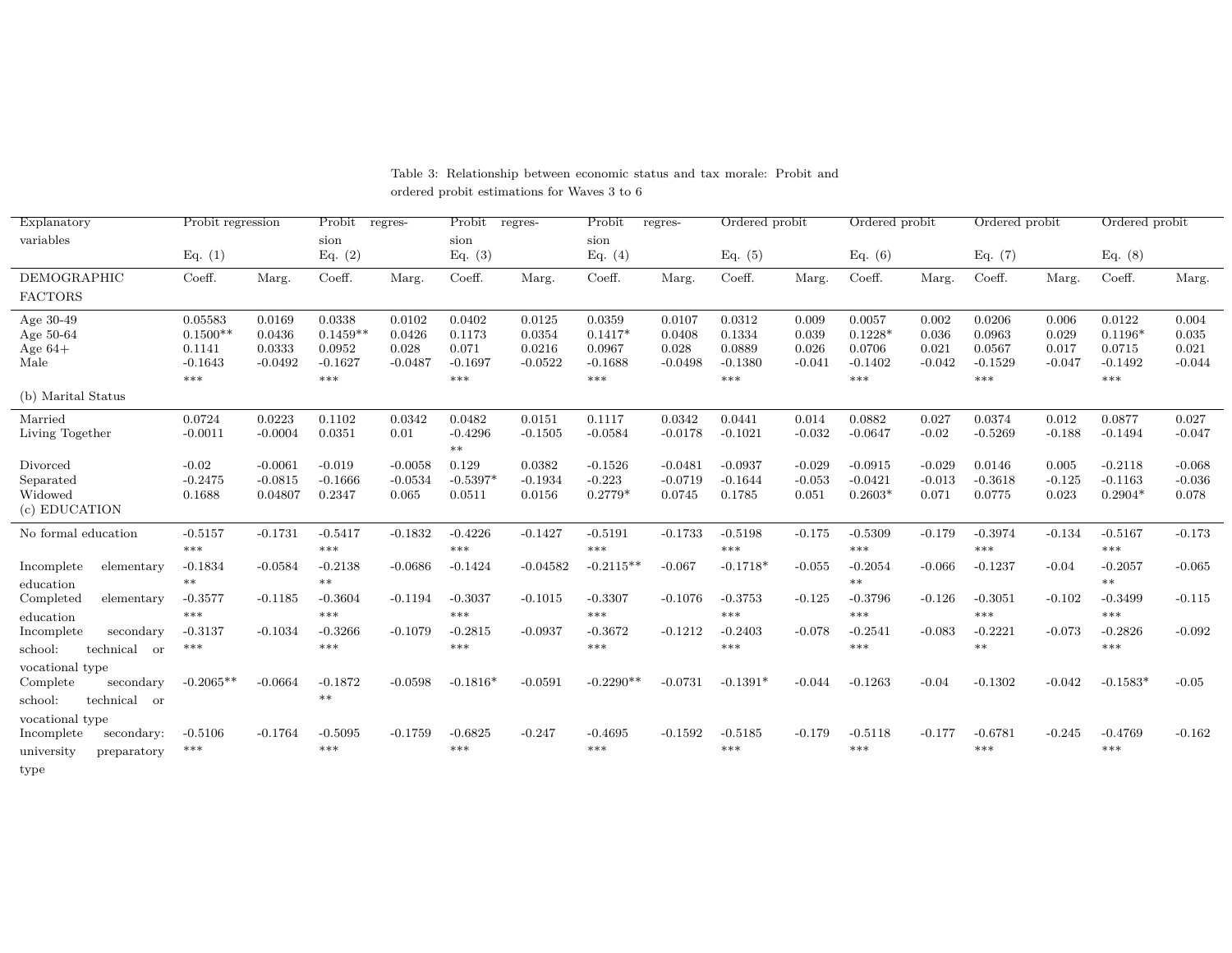| Explanatory               | Probit regression   |                     | Probit            | regres-            | Probit             | regres-             | Probit              | regres-            | Ordered probit     |                   | Ordered probit      |                   | Ordered probit      |                   | Ordered probit      |                   |
|---------------------------|---------------------|---------------------|-------------------|--------------------|--------------------|---------------------|---------------------|--------------------|--------------------|-------------------|---------------------|-------------------|---------------------|-------------------|---------------------|-------------------|
| variables                 | Eq. $(1)$           |                     | sion<br>Eq. $(2)$ |                    | sion<br>Eq. $(3)$  |                     | sion<br>Eq. $(4)$   |                    | Eq. $(5)$          |                   | Eq. $(6)$           |                   | Eq. (7)             |                   | Eq. $(8)$           |                   |
| <b>DEMOGRAPHIC</b>        | Coeff.              | Marg.               | Coeff.            | Marg.              | Coeff.             | Marg.               | Coeff.              | Marg.              | Coeff.             | Marg.             | Coeff.              | Marg.             | Coeff.              | Marg.             | Coeff.              | Marg.             |
| <b>FACTORS</b>            |                     |                     |                   |                    |                    |                     |                     |                    |                    |                   |                     |                   |                     |                   |                     |                   |
| Age 30-49                 | 0.05583             | 0.0169              | 0.0338            | 0.0102             | 0.0402             | 0.0125              | 0.0359              | 0.0107             | 0.0312             | 0.009             | 0.0057              | 0.002             | 0.0206              | 0.006             | 0.0122              | 0.004             |
| Age 50-64                 | $0.1500**$          | 0.0436              | $0.1459**$        | 0.0426             | 0.1173             | 0.0354              | $0.1417*$           | 0.0408             | 0.1334             | 0.039             | $0.1228*$           | 0.036             | 0.0963              | 0.029             | $0.1196*$           | 0.035             |
| Age $64+$<br>Male         | 0.1141<br>$-0.1643$ | 0.0333<br>$-0.0492$ | 0.0952            | 0.028<br>$-0.0487$ | 0.071<br>$-0.1697$ | 0.0216<br>$-0.0522$ | 0.0967<br>$-0.1688$ | 0.028<br>$-0.0498$ | 0.0889             | 0.026<br>$-0.041$ | 0.0706<br>$-0.1402$ | 0.021<br>$-0.042$ | 0.0567<br>$-0.1529$ | 0.017<br>$-0.047$ | 0.0715<br>$-0.1492$ | 0.021<br>$-0.044$ |
|                           | $***$               |                     | $-0.1627$<br>***  |                    | $***$              |                     | $***$               |                    | $-0.1380$<br>$***$ |                   | ***                 |                   | $***$               |                   | $***$               |                   |
| (b) Marital Status        |                     |                     |                   |                    |                    |                     |                     |                    |                    |                   |                     |                   |                     |                   |                     |                   |
| Married                   | 0.0724              | 0.0223              | 0.1102            | 0.0342             | 0.0482             | 0.0151              | 0.1117              | 0.0342             | 0.0441             | 0.014             | 0.0882              | 0.027             | 0.0374              | 0.012             | 0.0877              | 0.027             |
| Living Together           | $-0.0011$           | $-0.0004$           | 0.0351            | 0.01               | $-0.4296$          | $-0.1505$           | $-0.0584$           | $-0.0178$          | $-0.1021$          | $-0.032$          | $-0.0647$           | $-0.02$           | $-0.5269$           | $-0.188$          | $-0.1494$           | $-0.047$          |
|                           |                     |                     |                   |                    | $***$              |                     |                     |                    |                    |                   |                     |                   |                     |                   |                     |                   |
| Divorced                  | $-0.02$             | $-0.0061$           | $-0.019$          | $-0.0058$          | 0.129              | 0.0382              | $-0.1526$           | $-0.0481$          | $-0.0937$          | $-0.029$          | $-0.0915$           | $-0.029$          | 0.0146              | 0.005             | $-0.2118$           | $-0.068$          |
| Separated                 | $-0.2475$           | $-0.0815$           | $-0.1666$         | $-0.0534$          | $-0.5397*$         | $-0.1934$           | $-0.223$            | $-0.0719$          | $-0.1644$          | $-0.053$          | $-0.0421$           | $-0.013$          | $-0.3618$           | $-0.125$          | $-0.1163$           | $-0.036$          |
| Widowed                   | 0.1688              | 0.04807             | 0.2347            | 0.065              | 0.0511             | 0.0156              | $0.2779*$           | 0.0745             | 0.1785             | 0.051             | $0.2603*$           | 0.071             | 0.0775              | 0.023             | $0.2904*$           | 0.078             |
| (c) EDUCATION             |                     |                     |                   |                    |                    |                     |                     |                    |                    |                   |                     |                   |                     |                   |                     |                   |
| No formal education       | $-0.5157$           | $-0.1731$           | $-0.5417$         | $-0.1832$          | $-0.4226$          | $-0.1427$           | $-0.5191$           | $-0.1733$          | $-0.5198$          | $-0.175$          | $-0.5309$           | $-0.179$          | $-0.3974$           | $-0.134$          | $-0.5167$           | $-0.173$          |
|                           | $***$               |                     | ***               |                    | $***$              |                     | $***$               |                    | $***$              |                   | ***                 |                   | $***$               |                   | $***$               |                   |
| Incomplete<br>elementary  | $-0.1834$           | $-0.0584$           | $-0.2138$         | $-0.0686$          | $-0.1424$          | $-0.04582$          | $-0.2115**$         | $-0.067$           | $-0.1718*$         | $-0.055$          | $-0.2054$           | $-0.066$          | $-0.1237$           | $-0.04$           | $-0.2057$           | $-0.065$          |
| education                 | $**$                |                     | $**$              |                    |                    |                     |                     |                    |                    |                   | $**$                |                   |                     |                   | $**$                |                   |
| Completed<br>elementary   | $-0.3577$           | $-0.1185$           | $-0.3604$         | $-0.1194$          | $-0.3037$          | $-0.1015$           | $-0.3307$           | $-0.1076$          | $-0.3753$          | $-0.125$          | $-0.3796$           | $-0.126$          | $-0.3051$           | $-0.102$          | $-0.3499$           | $-0.115$          |
| education                 | $***$               |                     | ***               |                    | $***$              |                     | $***$               |                    | $***$              |                   | $***$               |                   | ***                 |                   | ***                 |                   |
| Incomplete<br>secondary   | $-0.3137$           | $-0.1034$           | $-0.3266$         | $-0.1079$          | $-0.2815$          | $-0.0937$           | $-0.3672$           | $-0.1212$          | $-0.2403$          | $-0.078$          | $-0.2541$           | $-0.083$          | $-0.2221$           | $-0.073$          | $-0.2826$           | $-0.092$          |
| school:<br>technical or   | ***                 |                     | ***               |                    | $***$              |                     | $***$               |                    | $***$              |                   | ***                 |                   | $***$               |                   | $***$               |                   |
| vocational type           |                     |                     |                   |                    |                    |                     |                     |                    |                    |                   |                     |                   |                     |                   |                     |                   |
| Complete<br>secondary     | $-0.2065**$         | $-0.0664$           | $-0.1872$         | $-0.0598$          | $-0.1816*$         | $-0.0591$           | $-0.2290**$         | $-0.0731$          | $-0.1391*$         | $-0.044$          | $-0.1263$           | $-0.04$           | $-0.1302$           | $-0.042$          | $-0.1583*$          | $-0.05$           |
| technical or<br>school:   |                     |                     | $**$              |                    |                    |                     |                     |                    |                    |                   |                     |                   |                     |                   |                     |                   |
| vocational type           |                     |                     |                   |                    |                    |                     |                     |                    |                    |                   |                     |                   |                     |                   |                     |                   |
| Incomplete<br>secondary:  | $-0.5106$           | $-0.1764$           | $-0.5095$         | $-0.1759$          | $-0.6825$          | $-0.247$            | $-0.4695$           | $-0.1592$          | $-0.5185$          | $-0.179$          | $-0.5118$           | $-0.177$          | $-0.6781$           | $-0.245$          | $-0.4769$           | $-0.162$          |
| university<br>preparatory | ***                 |                     | ***               |                    | $***$              |                     | $***$               |                    | $***$              |                   | ***                 |                   | ***                 |                   | $***$               |                   |
| type                      |                     |                     |                   |                    |                    |                     |                     |                    |                    |                   |                     |                   |                     |                   |                     |                   |

#### Table 3: Relationship between economic status and tax morale: Probit andordered probit estimations for Waves 3 to 6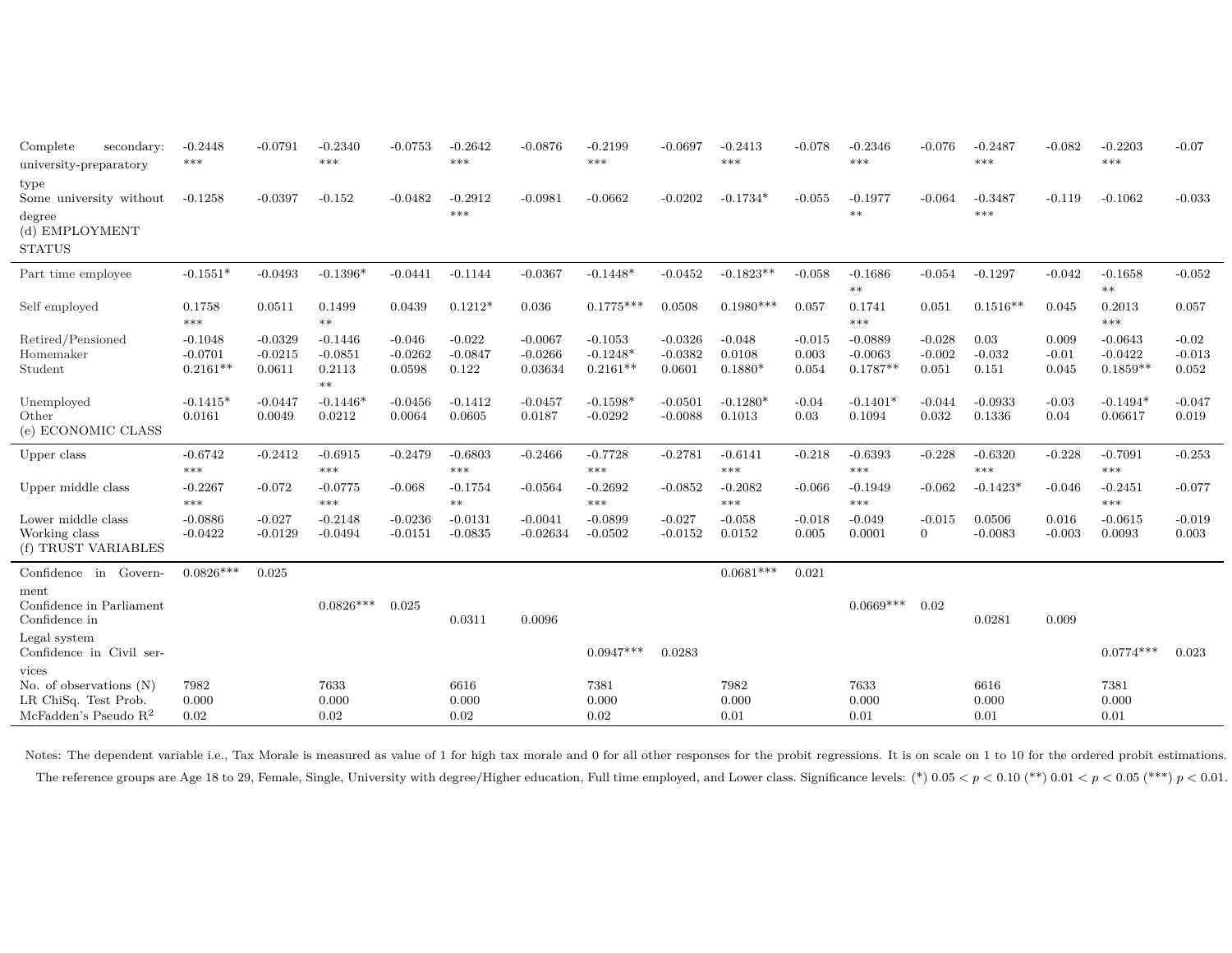| Complete<br>secondary:<br>university-preparatory                                      | $-0.2448$<br>***                     | $-0.0791$                        | $-0.2340$<br>$***$                        | $-0.0753$                       | $-0.2642$<br>***               | $-0.0876$                         | $-0.2199$<br>***                      | $-0.0697$                        | $-0.2413$<br>***                | $-0.078$                   | $-0.2346$<br>***                     | $-0.076$                      | $-0.2487$<br>***          | $-0.082$                  | $-0.2203$<br>***                     | $-0.07$                      |
|---------------------------------------------------------------------------------------|--------------------------------------|----------------------------------|-------------------------------------------|---------------------------------|--------------------------------|-----------------------------------|---------------------------------------|----------------------------------|---------------------------------|----------------------------|--------------------------------------|-------------------------------|---------------------------|---------------------------|--------------------------------------|------------------------------|
| type<br>Some university without                                                       | $-0.1258$                            | $-0.0397$                        | $-0.152$                                  | $-0.0482$                       | $-0.2912$                      | $-0.0981$                         | $-0.0662$                             | $-0.0202$                        | $-0.1734*$                      | $-0.055$                   | $-0.1977$                            | $-0.064$                      | $-0.3487$                 | $-0.119$                  | $-0.1062$                            | $-0.033$                     |
| degree<br>(d) EMPLOYMENT<br><b>STATUS</b>                                             |                                      |                                  |                                           |                                 | ***                            |                                   |                                       |                                  |                                 |                            | $**$                                 |                               | ***                       |                           |                                      |                              |
| Part time employee                                                                    | $-0.1551*$                           | $-0.0493$                        | $-0.1396*$                                | $-0.0441$                       | $-0.1144$                      | $-0.0367$                         | $-0.1448*$                            | $-0.0452$                        | $-0.1823**$                     | $-0.058$                   | $-0.1686$<br>$**$                    | $-0.054$                      | $-0.1297$                 | $-0.042$                  | $-0.1658$<br>$**$                    | $-0.052$                     |
| Self employed                                                                         | 0.1758<br>***                        | 0.0511                           | 0.1499<br>$***$                           | 0.0439                          | $0.1212*$                      | 0.036                             | $0.1775***$                           | 0.0508                           | $0.1980***$                     | 0.057                      | 0.1741<br>***                        | 0.051                         | $0.1516**$                | 0.045                     | 0.2013<br>***                        | 0.057                        |
| Retired/Pensioned<br>Homemaker<br>Student                                             | $-0.1048$<br>$-0.0701$<br>$0.2161**$ | $-0.0329$<br>$-0.0215$<br>0.0611 | $-0.1446$<br>$-0.0851$<br>0.2113<br>$***$ | $-0.046$<br>$-0.0262$<br>0.0598 | $-0.022$<br>$-0.0847$<br>0.122 | $-0.0067$<br>$-0.0266$<br>0.03634 | $-0.1053$<br>$-0.1248*$<br>$0.2161**$ | $-0.0326$<br>$-0.0382$<br>0.0601 | $-0.048$<br>0.0108<br>$0.1880*$ | $-0.015$<br>0.003<br>0.054 | $-0.0889$<br>$-0.0063$<br>$0.1787**$ | $-0.028$<br>$-0.002$<br>0.051 | 0.03<br>$-0.032$<br>0.151 | 0.009<br>$-0.01$<br>0.045 | $-0.0643$<br>$-0.0422$<br>$0.1859**$ | $-0.02$<br>$-0.013$<br>0.052 |
| Unemployed<br>Other<br>(e) ECONOMIC CLASS                                             | $-0.1415*$<br>0.0161                 | $-0.0447$<br>0.0049              | $-0.1446*$<br>0.0212                      | $-0.0456$<br>0.0064             | $-0.1412$<br>0.0605            | $-0.0457$<br>0.0187               | $-0.1598*$<br>$-0.0292$               | $-0.0501$<br>$-0.0088$           | $-0.1280*$<br>0.1013            | $-0.04$<br>0.03            | $-0.1401*$<br>0.1094                 | $-0.044$<br>0.032             | $-0.0933$<br>0.1336       | $-0.03$<br>0.04           | $-0.1494*$<br>0.06617                | $-0.047$<br>0.019            |
| Upper class                                                                           | $-0.6742$<br>***                     | $-0.2412$                        | $-0.6915$<br>$***$                        | $-0.2479$                       | $-0.6803$<br>***               | $-0.2466$                         | $-0.7728$<br>***                      | $-0.2781$                        | $-0.6141$<br>***                | $-0.218$                   | $-0.6393$<br>***                     | $-0.228$                      | $-0.6320$<br>***          | $-0.228$                  | $-0.7091$<br>***                     | $-0.253$                     |
| Upper middle class                                                                    | $-0.2267$<br>***                     | $-0.072$                         | $-0.0775$<br>***                          | $-0.068$                        | $-0.1754$<br>$**$              | $-0.0564$                         | $-0.2692$<br>***                      | $-0.0852$                        | $-0.2082$<br>***                | $-0.066$                   | $-0.1949$<br>***                     | $-0.062$                      | $-0.1423*$                | $-0.046$                  | $-0.2451$<br>***                     | $-0.077$                     |
| Lower middle class<br>Working class<br>(f) TRUST VARIABLES                            | $-0.0886$<br>$-0.0422$               | $-0.027$<br>$-0.0129$            | $-0.2148$<br>$-0.0494$                    | $-0.0236$<br>$-0.0151$          | $-0.0131$<br>$-0.0835$         | $-0.0041$<br>$-0.02634$           | $-0.0899$<br>$-0.0502$                | $-0.027$<br>$-0.0152$            | $-0.058$<br>0.0152              | $-0.018$<br>0.005          | $-0.049$<br>0.0001                   | $-0.015$<br>$\Omega$          | 0.0506<br>$-0.0083$       | 0.016<br>$-0.003$         | $-0.0615$<br>0.0093                  | $-0.019$<br>0.003            |
| Confidence in Govern-                                                                 | $0.0826***$                          | 0.025                            |                                           |                                 |                                |                                   |                                       |                                  | $0.0681***$                     | 0.021                      |                                      |                               |                           |                           |                                      |                              |
| ment<br>Confidence in Parliament<br>Confidence in                                     |                                      |                                  | $0.0826***$                               | 0.025                           | 0.0311                         | 0.0096                            |                                       |                                  |                                 |                            | $0.0669***$                          | 0.02                          | 0.0281                    | 0.009                     |                                      |                              |
| Legal system<br>Confidence in Civil ser-                                              |                                      |                                  |                                           |                                 |                                |                                   | $0.0947***$                           | 0.0283                           |                                 |                            |                                      |                               |                           |                           | $0.0774***$                          | 0.023                        |
| vices<br>No. of observations $(N)$<br>LR ChiSq. Test Prob.<br>McFadden's Pseudo $R^2$ | 7982<br>0.000<br>0.02                |                                  | 7633<br>0.000<br>0.02                     |                                 | 6616<br>0.000<br>0.02          |                                   | 7381<br>0.000<br>0.02                 |                                  | 7982<br>0.000<br>0.01           |                            | 7633<br>0.000<br>0.01                |                               | 6616<br>0.000<br>0.01     |                           | 7381<br>0.000<br>0.01                |                              |

Notes: The dependent variable i.e., Tax Morale is measured as value of 1 for high tax morale and 0 for all other responses for the probit regressions. It is on scale on 1 to 10 for the ordered probit estimations. The reference groups are Age 18 to 29, Female, Single, University with degree/Higher education, Full time employed, and Lower class. Significance levels: (\*)  $0.05 < p < 0.10$  (\*\*)  $0.01 < p < 0.05$  (\*\*\*)  $p < 0.01$ .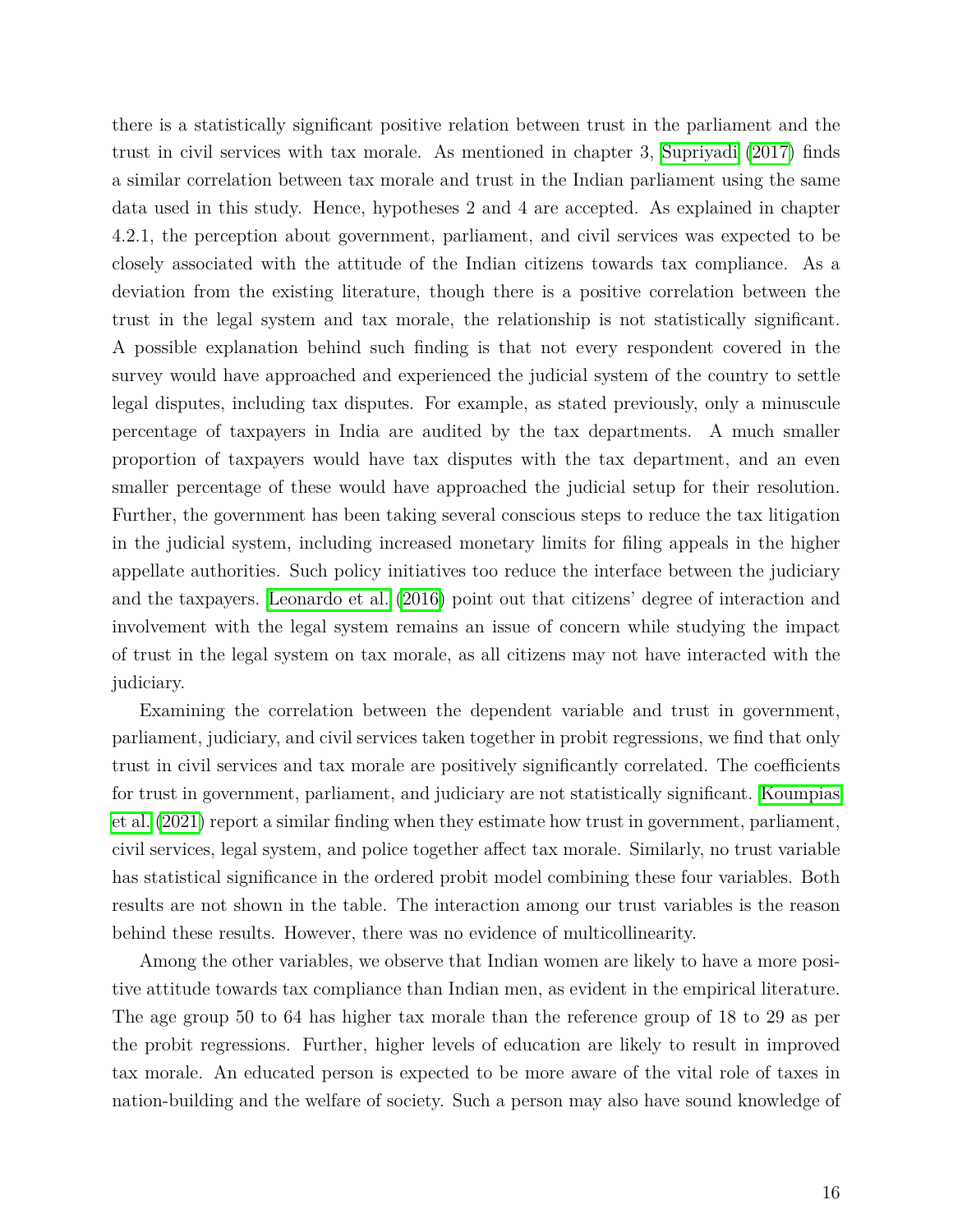there is a statistically significant positive relation between trust in the parliament and the trust in civil services with tax morale. As mentioned in chapter 3, [Supriyadi](#page-24-10)  $(2017)$  finds a similar correlation between tax morale and trust in the Indian parliament using the same data used in this study. Hence, hypotheses 2 and 4 are accepted. As explained in chapter 4.2.1, the perception about government, parliament, and civil services was expected to be closely associated with the attitude of the Indian citizens towards tax compliance. As a deviation from the existing literature, though there is a positive correlation between the trust in the legal system and tax morale, the relationship is not statistically significant. A possible explanation behind such finding is that not every respondent covered in the survey would have approached and experienced the judicial system of the country to settle legal disputes, including tax disputes. For example, as stated previously, only a minuscule percentage of taxpayers in India are audited by the tax departments. A much smaller proportion of taxpayers would have tax disputes with the tax department, and an even smaller percentage of these would have approached the judicial setup for their resolution. Further, the government has been taking several conscious steps to reduce the tax litigation in the judicial system, including increased monetary limits for filing appeals in the higher appellate authorities. Such policy initiatives too reduce the interface between the judiciary and the taxpayers. [Leonardo et al.](#page-23-17) [\(2016\)](#page-23-17) point out that citizens' degree of interaction and involvement with the legal system remains an issue of concern while studying the impact of trust in the legal system on tax morale, as all citizens may not have interacted with the judiciary.

Examining the correlation between the dependent variable and trust in government, parliament, judiciary, and civil services taken together in probit regressions, we find that only trust in civil services and tax morale are positively significantly correlated. The coefficients for trust in government, parliament, and judiciary are not statistically significant. [Koumpias](#page-23-12) [et al.](#page-23-12)  $(2021)$  report a similar finding when they estimate how trust in government, parliament, civil services, legal system, and police together affect tax morale. Similarly, no trust variable has statistical significance in the ordered probit model combining these four variables. Both results are not shown in the table. The interaction among our trust variables is the reason behind these results. However, there was no evidence of multicollinearity.

Among the other variables, we observe that Indian women are likely to have a more positive attitude towards tax compliance than Indian men, as evident in the empirical literature. The age group 50 to 64 has higher tax morale than the reference group of 18 to 29 as per the probit regressions. Further, higher levels of education are likely to result in improved tax morale. An educated person is expected to be more aware of the vital role of taxes in nation-building and the welfare of society. Such a person may also have sound knowledge of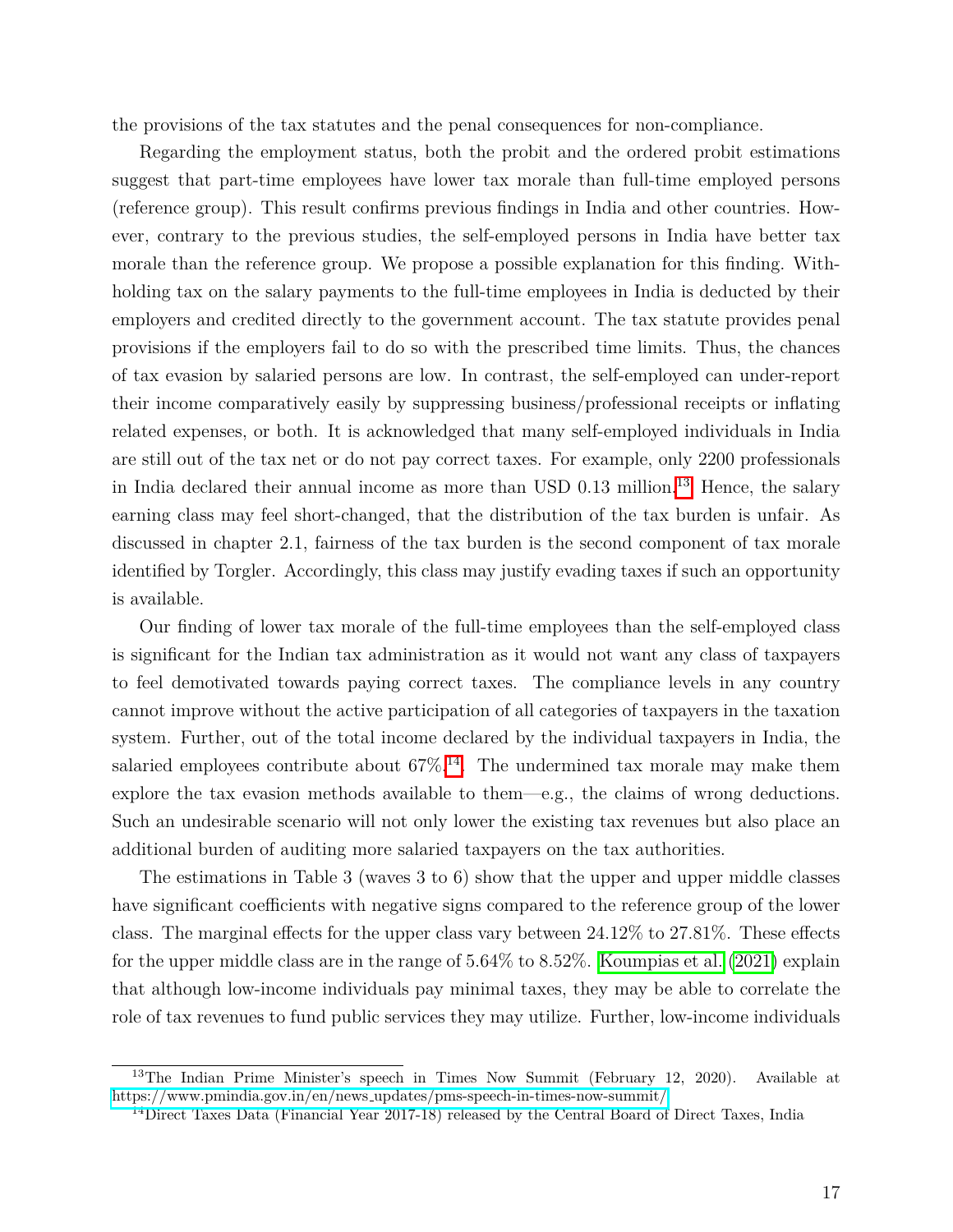the provisions of the tax statutes and the penal consequences for non-compliance.

Regarding the employment status, both the probit and the ordered probit estimations suggest that part-time employees have lower tax morale than full-time employed persons (reference group). This result confirms previous findings in India and other countries. However, contrary to the previous studies, the self-employed persons in India have better tax morale than the reference group. We propose a possible explanation for this finding. Withholding tax on the salary payments to the full-time employees in India is deducted by their employers and credited directly to the government account. The tax statute provides penal provisions if the employers fail to do so with the prescribed time limits. Thus, the chances of tax evasion by salaried persons are low. In contrast, the self-employed can under-report their income comparatively easily by suppressing business/professional receipts or inflating related expenses, or both. It is acknowledged that many self-employed individuals in India are still out of the tax net or do not pay correct taxes. For example, only 2200 professionals in India declared their annual income as more than USD 0.[13](#page-1-0) million.<sup>[3]</sup> Hence, the salary earning class may feel short-changed, that the distribution of the tax burden is unfair. As discussed in chapter 2.1, fairness of the tax burden is the second component of tax morale identified by Torgler. Accordingly, this class may justify evading taxes if such an opportunity is available.

Our finding of lower tax morale of the full-time employees than the self-employed class is significant for the Indian tax administration as it would not want any class of taxpayers to feel demotivated towards paying correct taxes. The compliance levels in any country cannot improve without the active participation of all categories of taxpayers in the taxation system. Further, out of the total income declared by the individual taxpayers in India, the salaried employees contribute about  $67\%$ <sup>[4]</sup>. The undermined tax morale may make them explore the tax evasion methods available to them—e.g., the claims of wrong deductions. Such an undesirable scenario will not only lower the existing tax revenues but also place an additional burden of auditing more salaried taxpayers on the tax authorities.

The estimations in Table 3 (waves 3 to 6) show that the upper and upper middle classes have significant coefficients with negative signs compared to the reference group of the lower class. The marginal effects for the upper class vary between 24.12% to 27.81%. These effects for the upper middle class are in the range of  $5.64\%$  to  $8.52\%$ . [Koumpias et al.](#page-23-12) [\(2021\)](#page-23-12) explain that although low-income individuals pay minimal taxes, they may be able to correlate the role of tax revenues to fund public services they may utilize. Further, low-income individuals

<sup>&</sup>lt;sup>13</sup>The Indian Prime Minister's speech in Times Now Summit (February 12, 2020). Available at https://www.pmindia.gov.in/en/news [updates/pms-speech-in-times-now-summit/](https://www.pmindia.gov.in/en/news_updates/pms-speech-in-times-now-summit/)

<sup>&</sup>lt;sup>14</sup>Direct Taxes Data (Financial Year 2017-18) released by the Central Board of Direct Taxes, India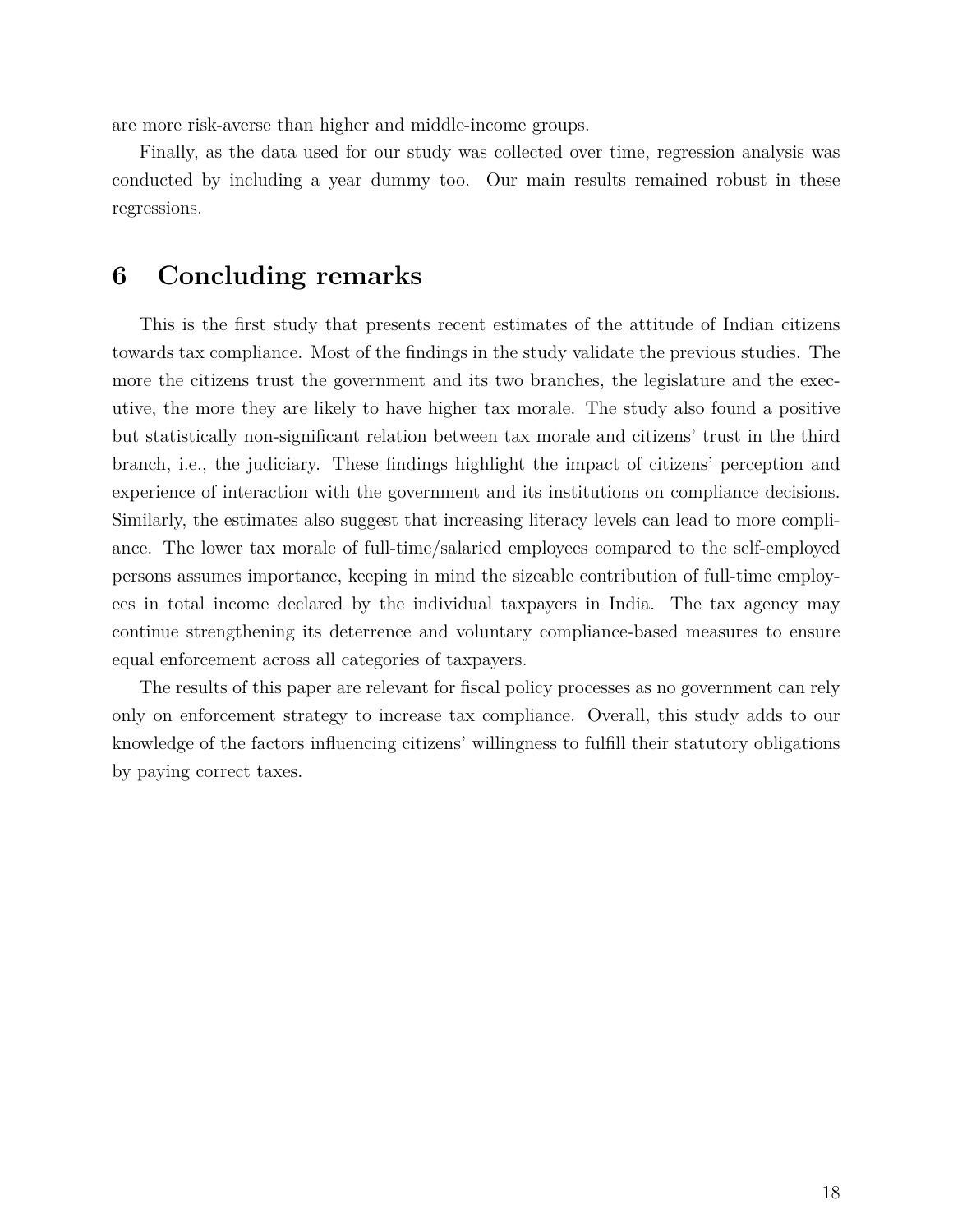are more risk-averse than higher and middle-income groups.

Finally, as the data used for our study was collected over time, regression analysis was conducted by including a year dummy too. Our main results remained robust in these regressions.

# **6 Concluding remarks**

This is the first study that presents recent estimates of the attitude of Indian citizens towards tax compliance. Most of the findings in the study validate the previous studies. The more the citizens trust the government and its two branches, the legislature and the executive, the more they are likely to have higher tax morale. The study also found a positive but statistically non-significant relation between tax morale and citizens' trust in the third branch, i.e., the judiciary. These findings highlight the impact of citizens' perception and experience of interaction with the government and its institutions on compliance decisions. Similarly, the estimates also suggest that increasing literacy levels can lead to more compliance. The lower tax morale of full-time/salaried employees compared to the self-employed persons assumes importance, keeping in mind the sizeable contribution of full-time employees in total income declared by the individual taxpayers in India. The tax agency may continue strengthening its deterrence and voluntary compliance-based measures to ensure equal enforcement across all categories of taxpayers.

The results of this paper are relevant for fiscal policy processes as no government can rely only on enforcement strategy to increase tax compliance. Overall, this study adds to our knowledge of the factors influencing citizens' willingness to fulfill their statutory obligations by paying correct taxes.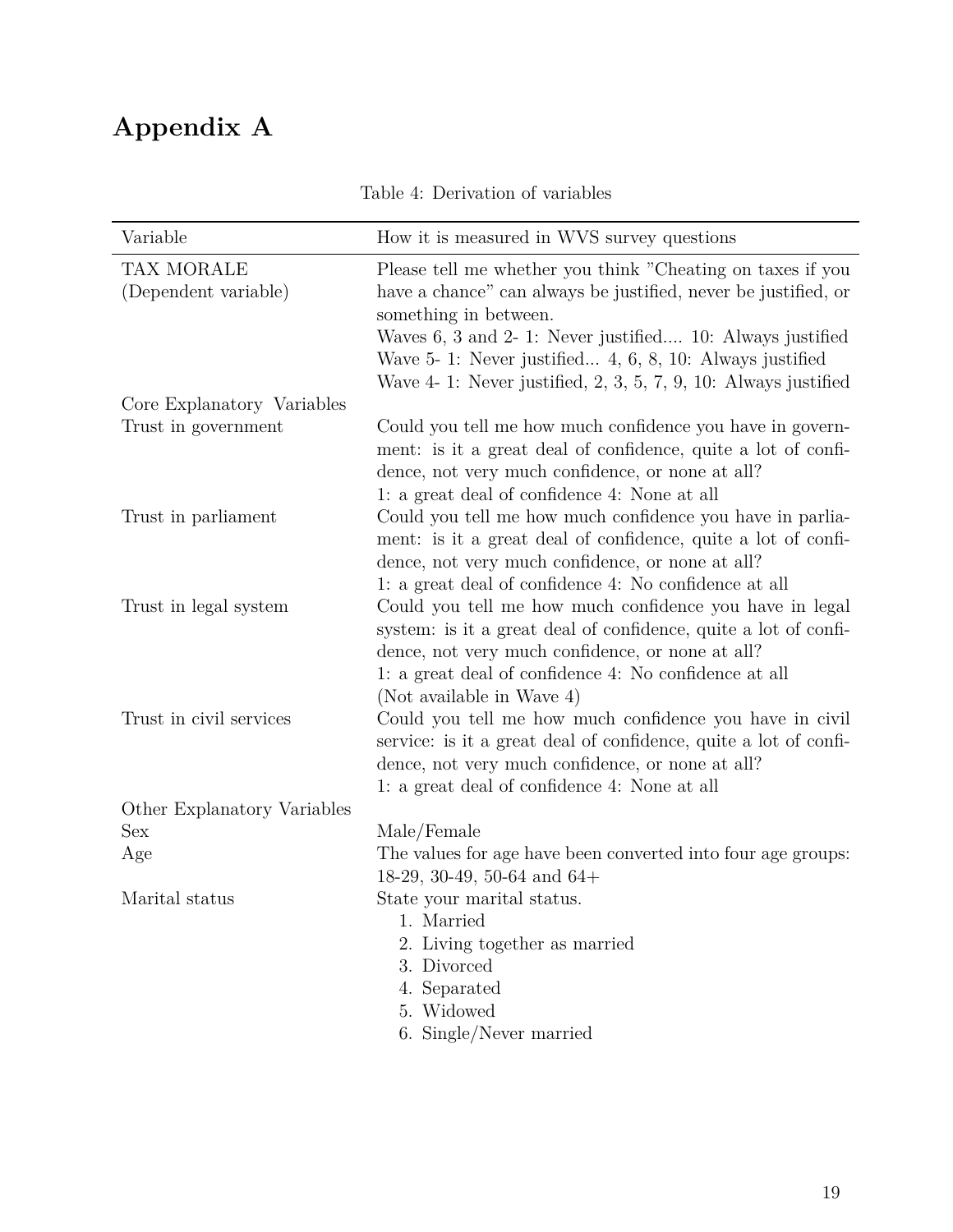# **Appendix A**

| Table 4: Derivation of variables |  |
|----------------------------------|--|
|----------------------------------|--|

| Variable                    | How it is measured in WVS survey questions                                                                                 |
|-----------------------------|----------------------------------------------------------------------------------------------------------------------------|
| TAX MORALE                  | Please tell me whether you think "Cheating on taxes if you                                                                 |
| (Dependent variable)        | have a chance" can always be justified, never be justified, or                                                             |
|                             | something in between.                                                                                                      |
|                             | Waves 6, 3 and 2- 1: Never justified 10: Always justified                                                                  |
|                             | Wave $5-1$ : Never justified $4, 6, 8, 10$ : Always justified                                                              |
|                             | Wave $4-1$ : Never justified, $2, 3, 5, 7, 9, 10$ : Always justified                                                       |
| Core Explanatory Variables  |                                                                                                                            |
| Trust in government         | Could you tell me how much confidence you have in govern-                                                                  |
|                             | ment: is it a great deal of confidence, quite a lot of confi-                                                              |
|                             | dence, not very much confidence, or none at all?                                                                           |
|                             | 1: a great deal of confidence 4: None at all                                                                               |
| Trust in parliament         | Could you tell me how much confidence you have in parlia-                                                                  |
|                             | ment: is it a great deal of confidence, quite a lot of confi-                                                              |
|                             | dence, not very much confidence, or none at all?                                                                           |
|                             | 1: a great deal of confidence 4: No confidence at all                                                                      |
| Trust in legal system       | Could you tell me how much confidence you have in legal<br>system: is it a great deal of confidence, quite a lot of confi- |
|                             | dence, not very much confidence, or none at all?                                                                           |
|                             | 1: a great deal of confidence 4: No confidence at all                                                                      |
|                             | (Not available in Wave 4)                                                                                                  |
| Trust in civil services     | Could you tell me how much confidence you have in civil                                                                    |
|                             | service: is it a great deal of confidence, quite a lot of confi-                                                           |
|                             | dence, not very much confidence, or none at all?                                                                           |
|                             | 1: a great deal of confidence 4: None at all                                                                               |
| Other Explanatory Variables |                                                                                                                            |
| Sex                         | Male/Female                                                                                                                |
| Age                         | The values for age have been converted into four age groups:                                                               |
|                             | 18-29, 30-49, 50-64 and $64+$                                                                                              |
| Marital status              | State your marital status.                                                                                                 |
|                             | 1. Married                                                                                                                 |
|                             | Living together as married                                                                                                 |
|                             | 3. Divorced                                                                                                                |
|                             | 4. Separated                                                                                                               |
|                             | 5. Widowed                                                                                                                 |
|                             | 6. Single/Never married                                                                                                    |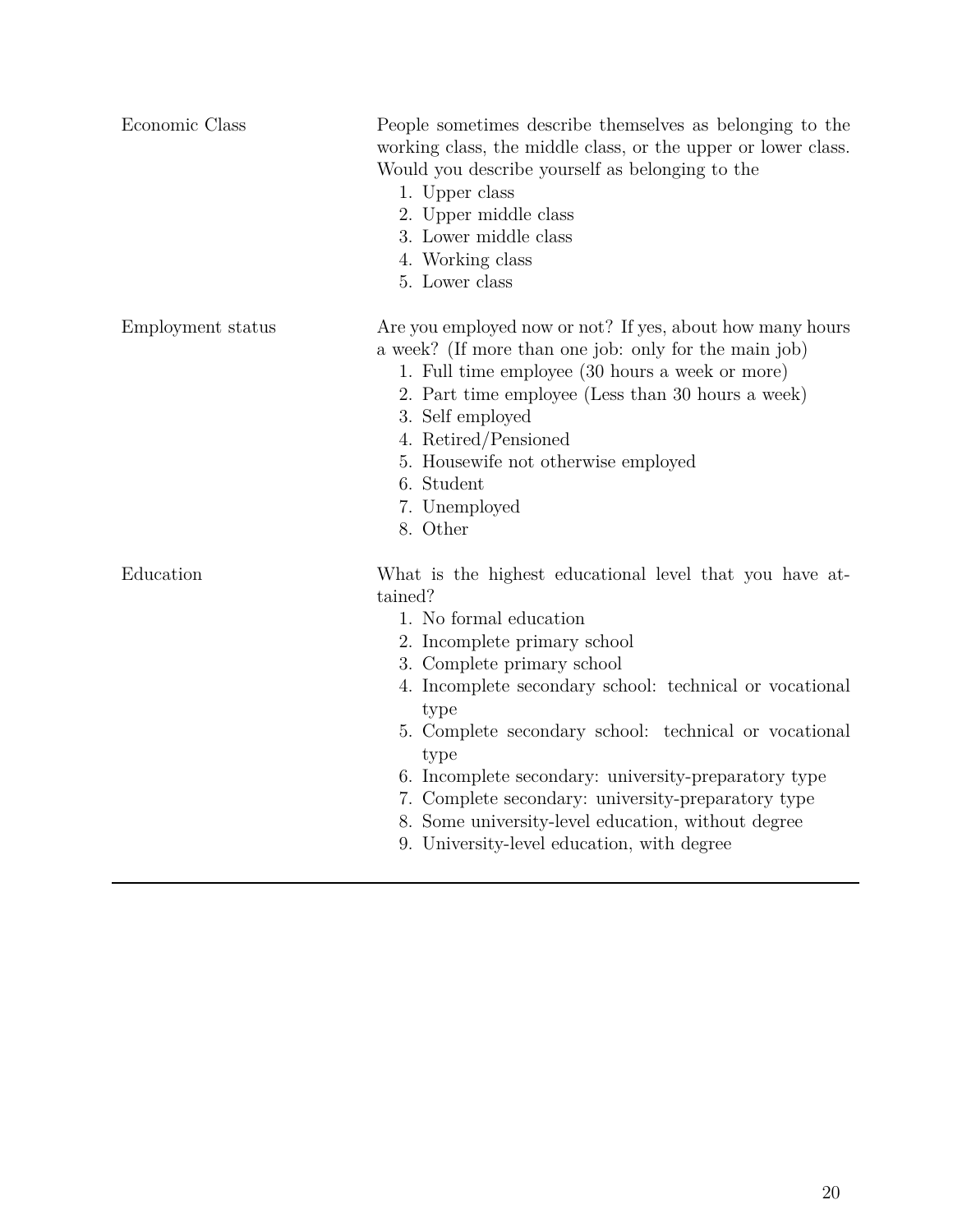| Economic Class    | People sometimes describe themselves as belonging to the<br>working class, the middle class, or the upper or lower class.<br>Would you describe yourself as belonging to the<br>1. Upper class<br>2. Upper middle class<br>3. Lower middle class<br>4. Working class<br>5. Lower class                                                                                                                                                                                                                           |
|-------------------|------------------------------------------------------------------------------------------------------------------------------------------------------------------------------------------------------------------------------------------------------------------------------------------------------------------------------------------------------------------------------------------------------------------------------------------------------------------------------------------------------------------|
| Employment status | Are you employed now or not? If yes, about how many hours<br>a week? (If more than one job: only for the main job)<br>1. Full time employee (30 hours a week or more)<br>2. Part time employee (Less than 30 hours a week)<br>3. Self employed<br>4. Retired/Pensioned<br>5. Housewife not otherwise employed<br>6. Student<br>7. Unemployed<br>8. Other                                                                                                                                                         |
| Education         | What is the highest educational level that you have at-<br>tained?<br>1. No formal education<br>2. Incomplete primary school<br>3. Complete primary school<br>4. Incomplete secondary school: technical or vocational<br>type<br>5. Complete secondary school: technical or vocational<br>type<br>6. Incomplete secondary: university-preparatory type<br>7. Complete secondary: university-preparatory type<br>8. Some university-level education, without degree<br>9. University-level education, with degree |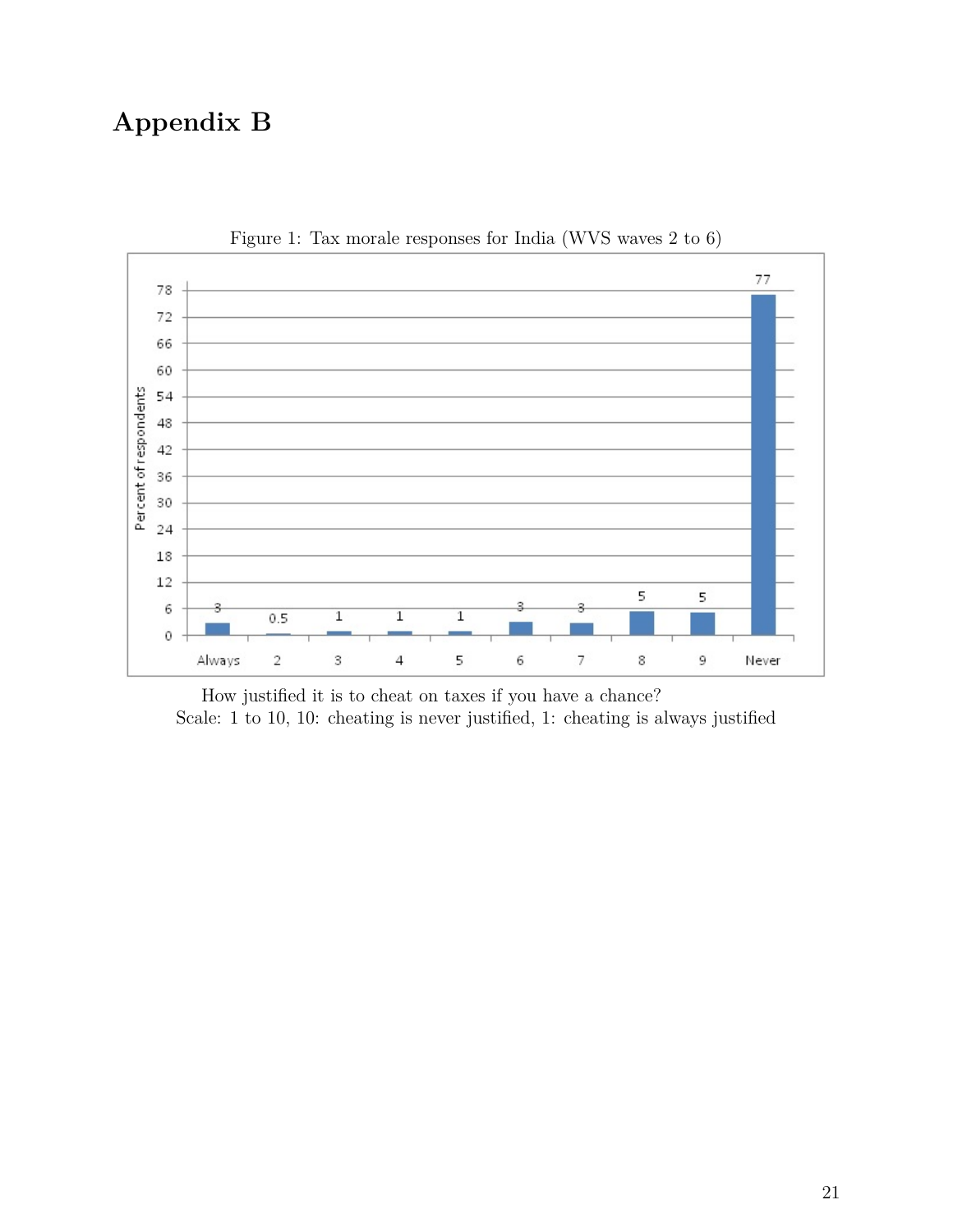# **Appendix B**



Figure 1: Tax morale responses for India (WVS waves 2 to 6)

How justified it is to cheat on taxes if you have a chance? Scale: 1 to 10, 10: cheating is never justified, 1: cheating is always justified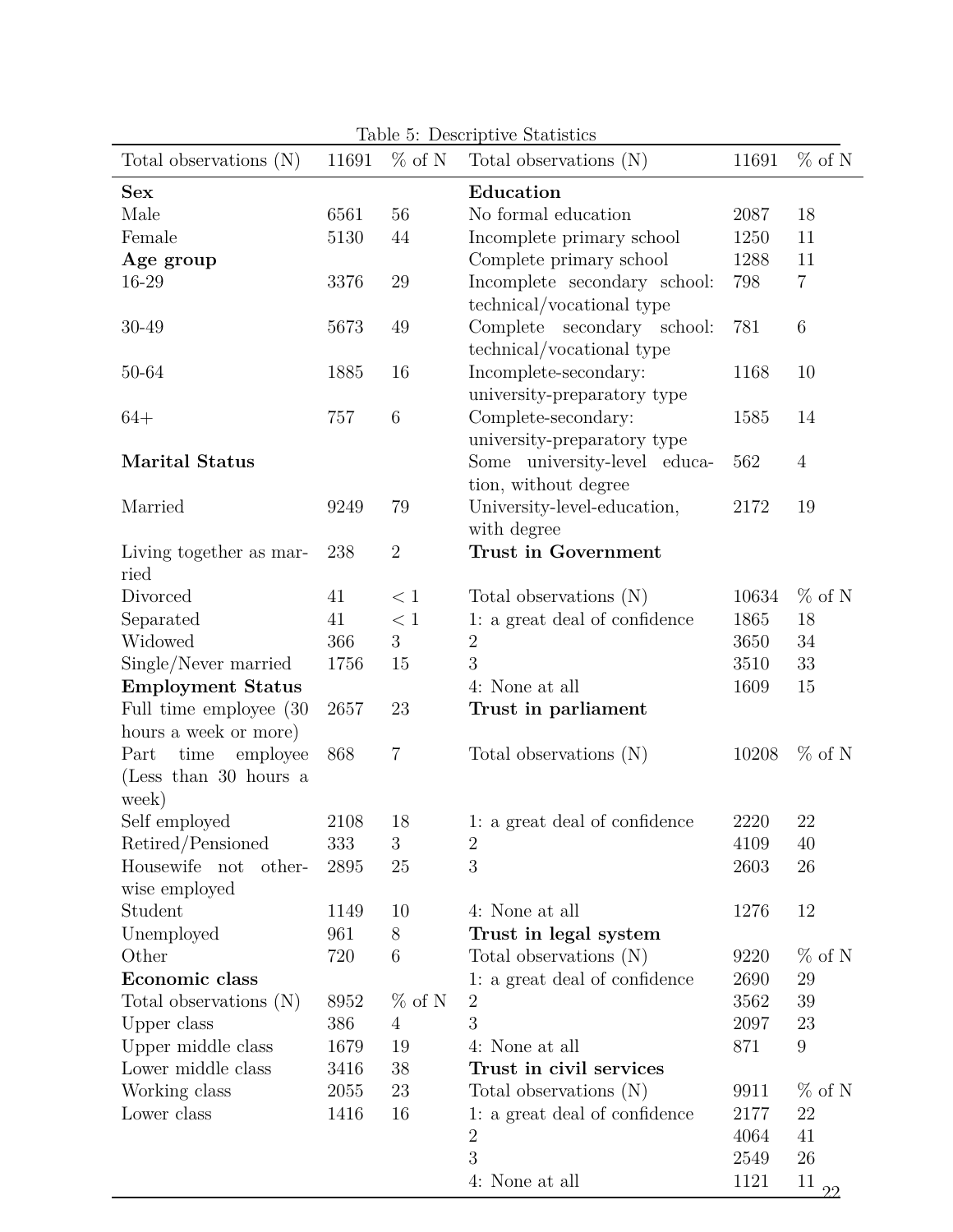| Table 5: Descriptive Statistics |       |                |                               |       |                |  |  |  |  |  |
|---------------------------------|-------|----------------|-------------------------------|-------|----------------|--|--|--|--|--|
| Total observations $(N)$        | 11691 | $\%$ of N      | Total observations (N)        | 11691 | $\%$ of N      |  |  |  |  |  |
| <b>Sex</b>                      |       |                | Education                     |       |                |  |  |  |  |  |
| Male                            | 6561  | 56             | No formal education           | 2087  | 18             |  |  |  |  |  |
| Female                          | 5130  | 44             | Incomplete primary school     | 1250  | 11             |  |  |  |  |  |
| Age group                       |       |                | Complete primary school       | 1288  | 11             |  |  |  |  |  |
| 16-29                           | 3376  | 29             | Incomplete secondary school:  | 798   | $\overline{7}$ |  |  |  |  |  |
|                                 |       |                | technical/vocational type     |       |                |  |  |  |  |  |
| 30-49                           | 5673  | 49             | Complete secondary school:    | 781   | $\,6\,$        |  |  |  |  |  |
|                                 |       |                | technical/vocational type     |       |                |  |  |  |  |  |
| 50-64                           | 1885  | 16             | Incomplete-secondary:         | 1168  | 10             |  |  |  |  |  |
|                                 |       |                | university-preparatory type   |       |                |  |  |  |  |  |
| $64+$                           | 757   | 6              | Complete-secondary:           | 1585  | 14             |  |  |  |  |  |
|                                 |       |                | university-preparatory type   |       |                |  |  |  |  |  |
| <b>Marital Status</b>           |       |                | Some university-level educa-  | 562   | $\overline{4}$ |  |  |  |  |  |
|                                 |       |                | tion, without degree          |       |                |  |  |  |  |  |
| Married                         | 9249  | 79             | University-level-education,   | 2172  | 19             |  |  |  |  |  |
|                                 |       |                | with degree                   |       |                |  |  |  |  |  |
| Living together as mar-         | 238   | $\overline{2}$ | Trust in Government           |       |                |  |  |  |  |  |
| ried                            |       |                |                               |       |                |  |  |  |  |  |
| Divorced                        | 41    | < 1            | Total observations (N)        | 10634 | $\%$ of N      |  |  |  |  |  |
| Separated                       | 41    | < 1            | 1: a great deal of confidence | 1865  | 18             |  |  |  |  |  |
| Widowed                         | 366   | 3              | $\sqrt{2}$                    | 3650  | 34             |  |  |  |  |  |
| Single/Never married            | 1756  | 15             | 3                             | 3510  | 33             |  |  |  |  |  |
| <b>Employment Status</b>        |       |                | 4: None at all                | 1609  | 15             |  |  |  |  |  |
| Full time employee (30)         | 2657  | 23             | Trust in parliament           |       |                |  |  |  |  |  |
| hours a week or more)           |       |                |                               |       |                |  |  |  |  |  |
| employee<br>time<br>Part        | 868   | $\,7$          | Total observations (N)        | 10208 | $\%$ of N      |  |  |  |  |  |
| (Less than 30 hours a           |       |                |                               |       |                |  |  |  |  |  |
| week)                           |       |                |                               |       |                |  |  |  |  |  |
| Self employed                   | 2108  | 18             | 1: a great deal of confidence | 2220  | 22             |  |  |  |  |  |
| Retired/Pensioned               | 333   | 3              | $\overline{2}$                | 4109  | 40             |  |  |  |  |  |
| Housewife not<br>other-         | 2895  | $25\,$         | 3                             | 2603  | $26\,$         |  |  |  |  |  |
| wise employed                   |       |                |                               |       |                |  |  |  |  |  |
| Student                         | 1149  | 10             | 4: None at all                | 1276  | 12             |  |  |  |  |  |
| Unemployed                      | 961   | 8              | Trust in legal system         |       |                |  |  |  |  |  |
| Other                           | 720   | $\,6$          | Total observations (N)        | 9220  | $\%$ of N      |  |  |  |  |  |
| Economic class                  |       |                | 1: a great deal of confidence | 2690  | $29\,$         |  |  |  |  |  |
| Total observations (N)          | 8952  | $\%$ of N      | $\overline{2}$                | 3562  | 39             |  |  |  |  |  |
| Upper class                     | 386   | $\overline{4}$ | 3                             | 2097  | 23             |  |  |  |  |  |
| Upper middle class              | 1679  | 19             | 4: None at all                | 871   | 9              |  |  |  |  |  |
| Lower middle class              | 3416  | $38\,$         | Trust in civil services       |       |                |  |  |  |  |  |
| Working class                   | 2055  | 23             | Total observations (N)        | 9911  | $\%$ of N      |  |  |  |  |  |
| Lower class                     | 1416  | 16             | 1: a great deal of confidence | 2177  | 22             |  |  |  |  |  |
|                                 |       |                | $\boldsymbol{2}$              | 4064  | 41             |  |  |  |  |  |
|                                 |       |                | 3                             | 2549  | 26             |  |  |  |  |  |
|                                 |       |                | 4: None at all                | 1121  | 11<br>22       |  |  |  |  |  |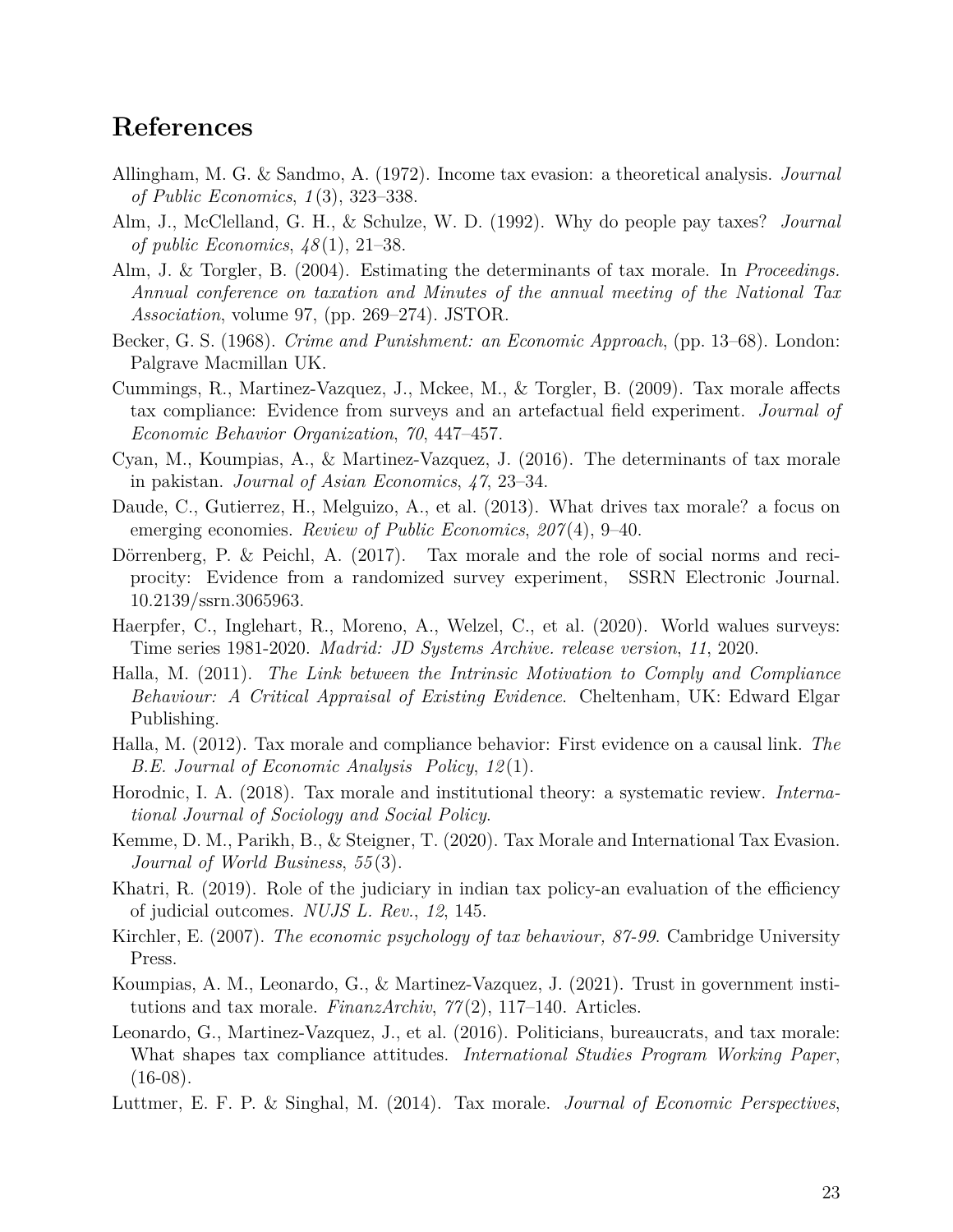# **References**

- <span id="page-23-0"></span>Allingham, M. G. & Sandmo, A. (1972). Income tax evasion: a theoretical analysis. *Journal of Public Economics*, *1* (3), 323–338.
- <span id="page-23-2"></span>Alm, J., McClelland, G. H., & Schulze, W. D. (1992). Why do people pay taxes? *Journal of public Economics*, *48* (1), 21–38.
- <span id="page-23-7"></span>Alm, J. & Torgler, B. (2004). Estimating the determinants of tax morale. In *Proceedings. Annual conference on taxation and Minutes of the annual meeting of the National Tax Association*, volume 97, (pp. 269–274). JSTOR.
- <span id="page-23-1"></span>Becker, G. S. (1968). *Crime and Punishment: an Economic Approach*, (pp. 13–68). London: Palgrave Macmillan UK.
- <span id="page-23-8"></span>Cummings, R., Martinez-Vazquez, J., Mckee, M., & Torgler, B. (2009). Tax morale affects tax compliance: Evidence from surveys and an artefactual field experiment. *Journal of Economic Behavior Organization*, *70*, 447–457.
- <span id="page-23-4"></span>Cyan, M., Koumpias, A., & Martinez-Vazquez, J. (2016). The determinants of tax morale in pakistan. *Journal of Asian Economics*, *47*, 23–34.
- <span id="page-23-15"></span>Daude, C., Gutierrez, H., Melguizo, A., et al. (2013). What drives tax morale? a focus on emerging economies. *Review of Public Economics*, *207* (4), 9–40.
- <span id="page-23-16"></span>Dörrenberg, P. & Peichl, A.  $(2017)$ . Tax morale and the role of social norms and reciprocity: Evidence from a randomized survey experiment, SSRN Electronic Journal. 10.2139/ssrn.3065963.
- <span id="page-23-11"></span>Haerpfer, C., Inglehart, R., Moreno, A., Welzel, C., et al. (2020). World walues surveys: Time series 1981-2020. *Madrid: JD Systems Archive. release version*, *11*, 2020.
- <span id="page-23-6"></span>Halla, M. (2011). *The Link between the Intrinsic Motivation to Comply and Compliance Behaviour: A Critical Appraisal of Existing Evidence*. Cheltenham, UK: Edward Elgar Publishing.
- <span id="page-23-9"></span>Halla, M. (2012). Tax morale and compliance behavior: First evidence on a causal link. *The B.E. Journal of Economic Analysis Policy*, *12* (1).
- <span id="page-23-5"></span>Horodnic, I. A. (2018). Tax morale and institutional theory: a systematic review. *International Journal of Sociology and Social Policy*.
- <span id="page-23-10"></span>Kemme, D. M., Parikh, B., & Steigner, T. (2020). Tax Morale and International Tax Evasion. *Journal of World Business*, *55* (3).
- <span id="page-23-14"></span>Khatri, R. (2019). Role of the judiciary in indian tax policy-an evaluation of the efficiency of judicial outcomes. *NUJS L. Rev.*, *12*, 145.
- <span id="page-23-3"></span>Kirchler, E. (2007). *The economic psychology of tax behaviour, 87-99*. Cambridge University Press.
- <span id="page-23-12"></span>Koumpias, A. M., Leonardo, G., & Martinez-Vazquez, J. (2021). Trust in government institutions and tax morale. *FinanzArchiv*, *77* (2), 117–140. Articles.
- <span id="page-23-17"></span>Leonardo, G., Martinez-Vazquez, J., et al. (2016). Politicians, bureaucrats, and tax morale: What shapes tax compliance attitudes. *International Studies Program Working Paper*,  $(16-08)$ .
- <span id="page-23-13"></span>Luttmer, E. F. P. & Singhal, M. (2014). Tax morale. *Journal of Economic Perspectives*,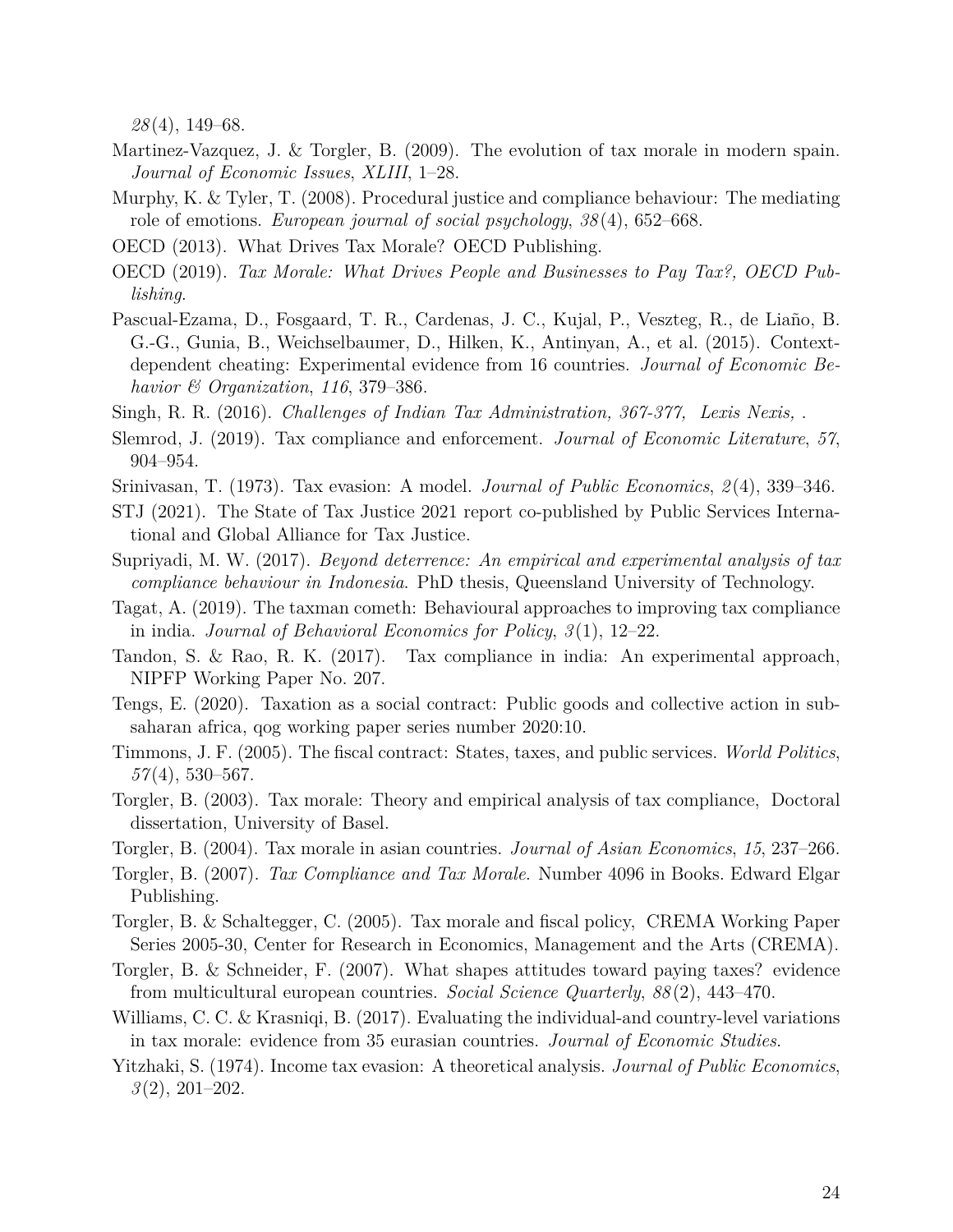*28* (4), 149–68.

- <span id="page-24-8"></span>Martinez-Vazquez, J. & Torgler, B. (2009). The evolution of tax morale in modern spain. *Journal of Economic Issues*, *XLIII*, 1–28.
- <span id="page-24-14"></span>Murphy, K. & Tyler, T. (2008). Procedural justice and compliance behaviour: The mediating role of emotions. *European journal of social psychology*, *38* (4), 652–668.
- <span id="page-24-1"></span>OECD (2013). What Drives Tax Morale? OECD Publishing.
- <span id="page-24-19"></span>OECD (2019). *Tax Morale: What Drives People and Businesses to Pay Tax?, OECD Publishing*.
- <span id="page-24-12"></span>Pascual-Ezama, D., Fosgaard, T. R., Cardenas, J. C., Kujal, P., Veszteg, R., de Liaño, B. G.-G., Gunia, B., Weichselbaumer, D., Hilken, K., Antinyan, A., et al. (2015). Contextdependent cheating: Experimental evidence from 16 countries. *Journal of Economic Behavior & Organization*, *116*, 379–386.
- <span id="page-24-13"></span>Singh, R. R. (2016). *Challenges of Indian Tax Administration, 367-377, Lexis Nexis,* .
- <span id="page-24-3"></span>Slemrod, J. (2019). Tax compliance and enforcement. *Journal of Economic Literature*, *57*, 904–954.
- <span id="page-24-5"></span>Srinivasan, T. (1973). Tax evasion: A model. *Journal of Public Economics*, *2* (4), 339–346.
- <span id="page-24-0"></span>STJ (2021). The State of Tax Justice 2021 report co-published by Public Services International and Global Alliance for Tax Justice.
- <span id="page-24-10"></span>Supriyadi, M. W. (2017). *Beyond deterrence: An empirical and experimental analysis of tax compliance behaviour in Indonesia*. PhD thesis, Queensland University of Technology.
- <span id="page-24-11"></span>Tagat, A. (2019). The taxman cometh: Behavioural approaches to improving tax compliance in india. *Journal of Behavioral Economics for Policy*, *3* (1), 12–22.
- <span id="page-24-17"></span>Tandon, S. & Rao, R. K. (2017). Tax compliance in india: An experimental approach, NIPFP Working Paper No. 207.
- <span id="page-24-16"></span>Tengs, E. (2020). Taxation as a social contract: Public goods and collective action in subsaharan africa, qog working paper series number 2020:10.
- <span id="page-24-15"></span>Timmons, J. F. (2005). The fiscal contract: States, taxes, and public services. *World Politics*, *57* (4), 530–567.
- <span id="page-24-9"></span>Torgler, B. (2003). Tax morale: Theory and empirical analysis of tax compliance, Doctoral dissertation, University of Basel.
- <span id="page-24-2"></span>Torgler, B. (2004). Tax morale in asian countries. *Journal of Asian Economics*, *15*, 237–266.
- <span id="page-24-6"></span>Torgler, B. (2007). *Tax Compliance and Tax Morale*. Number 4096 in Books. Edward Elgar Publishing.
- <span id="page-24-7"></span>Torgler, B. & Schaltegger, C. (2005). Tax morale and fiscal policy, CREMA Working Paper Series 2005-30, Center for Research in Economics, Management and the Arts (CREMA).
- <span id="page-24-20"></span>Torgler, B. & Schneider, F. (2007). What shapes attitudes toward paying taxes? evidence from multicultural european countries. *Social Science Quarterly*, *88* (2), 443–470.
- <span id="page-24-18"></span>Williams, C. C. & Krasniqi, B. (2017). Evaluating the individual-and country-level variations in tax morale: evidence from 35 eurasian countries. *Journal of Economic Studies*.
- <span id="page-24-4"></span>Yitzhaki, S. (1974). Income tax evasion: A theoretical analysis. *Journal of Public Economics*, *3* (2), 201–202.